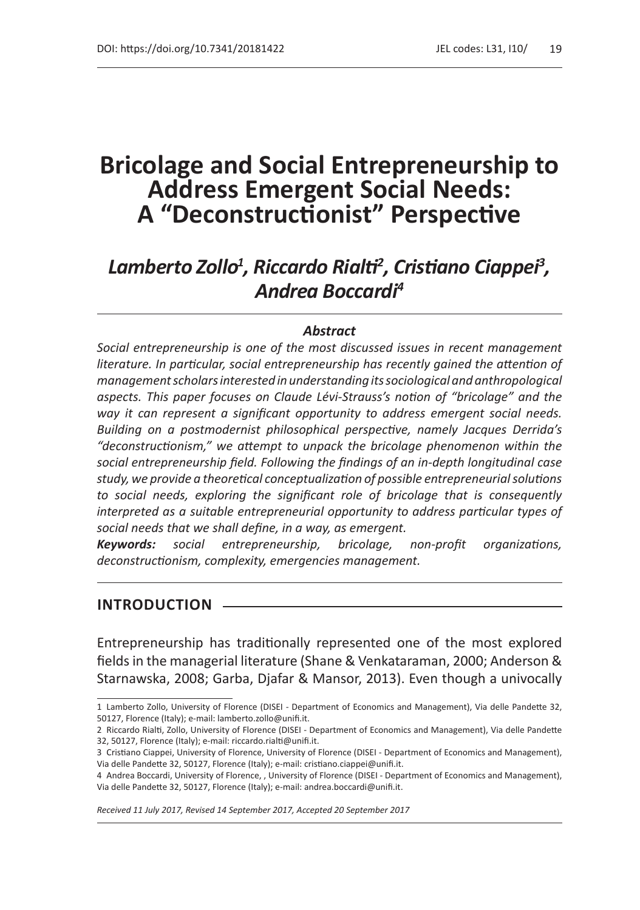# *Lamberto Zollo1 , Riccardo Rialti<sup>2</sup> , Cristiano Ciappei<sup>3</sup> , Andrea Boccardi4*

#### *Abstract*

*Social entrepreneurship is one of the most discussed issues in recent management literature. In particular, social entrepreneurship has recently gained the attention of management scholars interested in understanding its sociological and anthropological aspects. This paper focuses on Claude Lévi-Strauss's notion of "bricolage" and the way it can represent a significant opportunity to address emergent social needs. Building on a postmodernist philosophical perspective, namely Jacques Derrida's "deconstructionism," we attempt to unpack the bricolage phenomenon within the social entrepreneurship field. Following the findings of an in-depth longitudinal case study, we provide a theoretical conceptualization of possible entrepreneurial solutions to social needs, exploring the significant role of bricolage that is consequently interpreted as a suitable entrepreneurial opportunity to address particular types of social needs that we shall define, in a way, as emergent.*

*Keywords: social entrepreneurship, bricolage, non-profit organizations, deconstructionism, complexity, emergencies management.*

## **INTRODUCTION**

Entrepreneurship has traditionally represented one of the most explored fields in the managerial literature (Shane & Venkataraman, 2000; Anderson & Starnawska, 2008; Garba, Djafar & Mansor, 2013). Even though a univocally

*Received 11 July 2017, Revised 14 September 2017, Accepted 20 September 2017*

<sup>1</sup> Lamberto Zollo, University of Florence (DISEI - Department of Economics and Management), Via delle Pandette 32, 50127, Florence (Italy); e-mail: lamberto.zollo@unifi.it.

<sup>2</sup> Riccardo Rialti, Zollo, University of Florence (DISEI - Department of Economics and Management), Via delle Pandette 32, 50127, Florence (Italy); e-mail: riccardo.rialti@unifi.it.

<sup>3</sup> Cristiano Ciappei, University of Florence, University of Florence (DISEI - Department of Economics and Management), Via delle Pandette 32, 50127, Florence (Italy); e-mail: cristiano.ciappei@unifi.it.

<sup>4</sup> Andrea Boccardi, University of Florence, , University of Florence (DISEI - Department of Economics and Management), Via delle Pandette 32, 50127, Florence (Italy); e-mail: andrea.boccardi@unifi.it.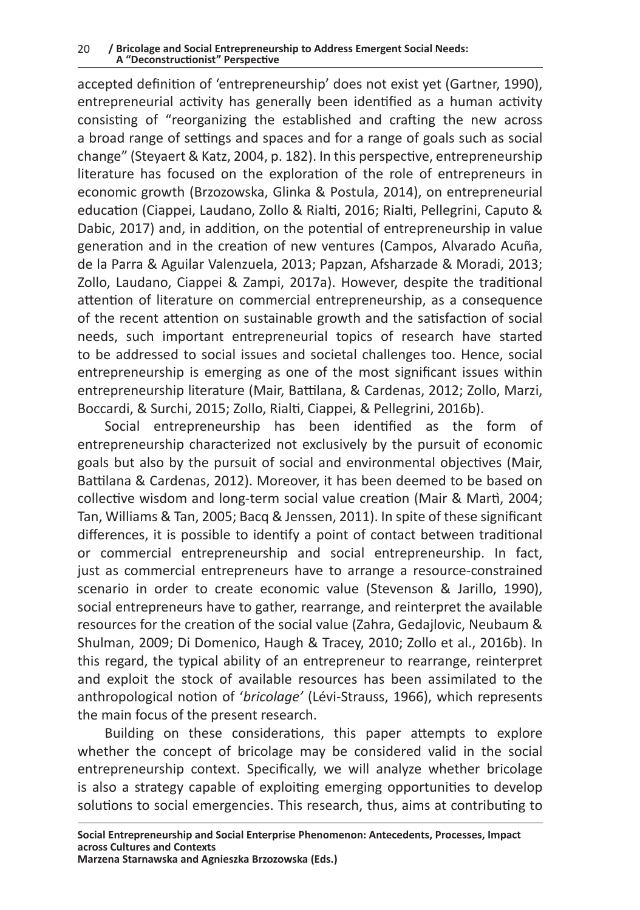accepted definition of 'entrepreneurship' does not exist yet (Gartner, 1990), entrepreneurial activity has generally been identified as a human activity consisting of "reorganizing the established and crafting the new across a broad range of settings and spaces and for a range of goals such as social change" (Steyaert & Katz, 2004, p. 182). In this perspective, entrepreneurship literature has focused on the exploration of the role of entrepreneurs in economic growth (Brzozowska, Glinka & Postula, 2014), on entrepreneurial education (Ciappei, Laudano, Zollo & Rialti, 2016; Rialti, Pellegrini, Caputo & Dabic, 2017) and, in addition, on the potential of entrepreneurship in value generation and in the creation of new ventures (Campos, Alvarado Acuña, de la Parra & Aguilar Valenzuela, 2013; Papzan, Afsharzade & Moradi, 2013; Zollo, Laudano, Ciappei & Zampi, 2017a). However, despite the traditional attention of literature on commercial entrepreneurship, as a consequence of the recent attention on sustainable growth and the satisfaction of social needs, such important entrepreneurial topics of research have started to be addressed to social issues and societal challenges too. Hence, social entrepreneurship is emerging as one of the most significant issues within entrepreneurship literature (Mair, Battilana, & Cardenas, 2012; Zollo, Marzi, Boccardi, & Surchi, 2015; Zollo, Rialti, Ciappei, & Pellegrini, 2016b).

Social entrepreneurship has been identified as the form of entrepreneurship characterized not exclusively by the pursuit of economic goals but also by the pursuit of social and environmental objectives (Mair, Battilana & Cardenas, 2012). Moreover, it has been deemed to be based on collective wisdom and long-term social value creation (Mair & Martì, 2004; Tan, Williams & Tan, 2005; Bacq & Jenssen, 2011). In spite of these significant differences, it is possible to identify a point of contact between traditional or commercial entrepreneurship and social entrepreneurship. In fact, just as commercial entrepreneurs have to arrange a resource-constrained scenario in order to create economic value (Stevenson & Jarillo, 1990), social entrepreneurs have to gather, rearrange, and reinterpret the available resources for the creation of the social value (Zahra, Gedajlovic, Neubaum & Shulman, 2009; Di Domenico, Haugh & Tracey, 2010; Zollo et al., 2016b). In this regard, the typical ability of an entrepreneur to rearrange, reinterpret and exploit the stock of available resources has been assimilated to the anthropological notion of '*bricolage'* (Lévi-Strauss, 1966), which represents the main focus of the present research.

Building on these considerations, this paper attempts to explore whether the concept of bricolage may be considered valid in the social entrepreneurship context. Specifically, we will analyze whether bricolage is also a strategy capable of exploiting emerging opportunities to develop solutions to social emergencies. This research, thus, aims at contributing to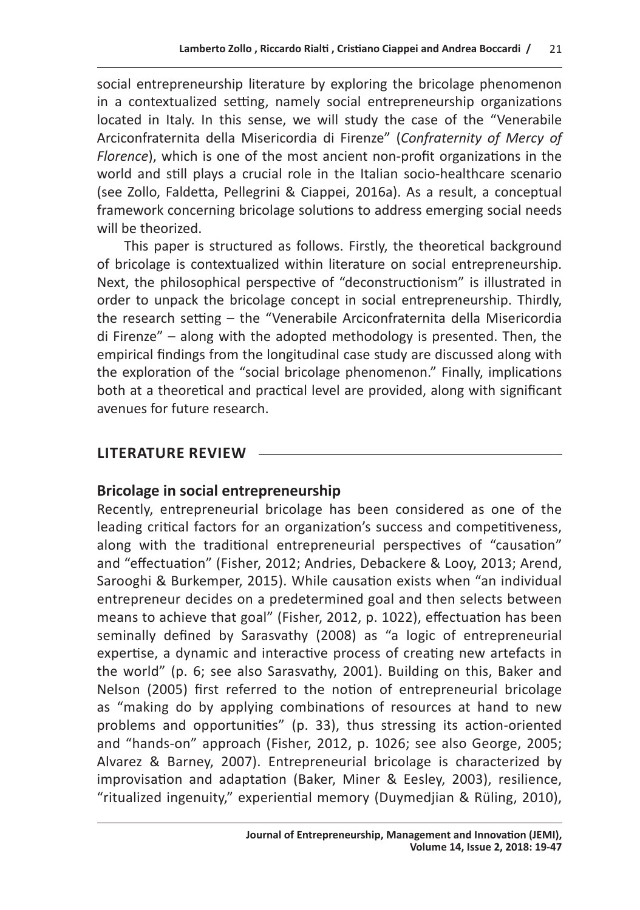social entrepreneurship literature by exploring the bricolage phenomenon in a contextualized setting, namely social entrepreneurship organizations located in Italy. In this sense, we will study the case of the "Venerabile Arciconfraternita della Misericordia di Firenze" (*Confraternity of Mercy of Florence*), which is one of the most ancient non-profit organizations in the world and still plays a crucial role in the Italian socio-healthcare scenario (see Zollo, Faldetta, Pellegrini & Ciappei, 2016a). As a result, a conceptual framework concerning bricolage solutions to address emerging social needs will be theorized.

This paper is structured as follows. Firstly, the theoretical background of bricolage is contextualized within literature on social entrepreneurship. Next, the philosophical perspective of "deconstructionism" is illustrated in order to unpack the bricolage concept in social entrepreneurship. Thirdly, the research setting – the "Venerabile Arciconfraternita della Misericordia di Firenze" – along with the adopted methodology is presented. Then, the empirical findings from the longitudinal case study are discussed along with the exploration of the "social bricolage phenomenon." Finally, implications both at a theoretical and practical level are provided, along with significant avenues for future research.

# **LITERATURE REVIEW**

# **Bricolage in social entrepreneurship**

Recently, entrepreneurial bricolage has been considered as one of the leading critical factors for an organization's success and competitiveness, along with the traditional entrepreneurial perspectives of "causation" and "effectuation" (Fisher, 2012; Andries, Debackere & Looy, 2013; Arend, Sarooghi & Burkemper, 2015). While causation exists when "an individual entrepreneur decides on a predetermined goal and then selects between means to achieve that goal" (Fisher, 2012, p. 1022), effectuation has been seminally defined by Sarasvathy (2008) as "a logic of entrepreneurial expertise, a dynamic and interactive process of creating new artefacts in the world" (p. 6; see also Sarasvathy, 2001). Building on this, Baker and Nelson (2005) first referred to the notion of entrepreneurial bricolage as "making do by applying combinations of resources at hand to new problems and opportunities" (p. 33), thus stressing its action-oriented and "hands-on" approach (Fisher, 2012, p. 1026; see also George, 2005; Alvarez & Barney, 2007). Entrepreneurial bricolage is characterized by improvisation and adaptation (Baker, Miner & Eesley, 2003), resilience, "ritualized ingenuity," experiential memory (Duymedjian & Rüling, 2010),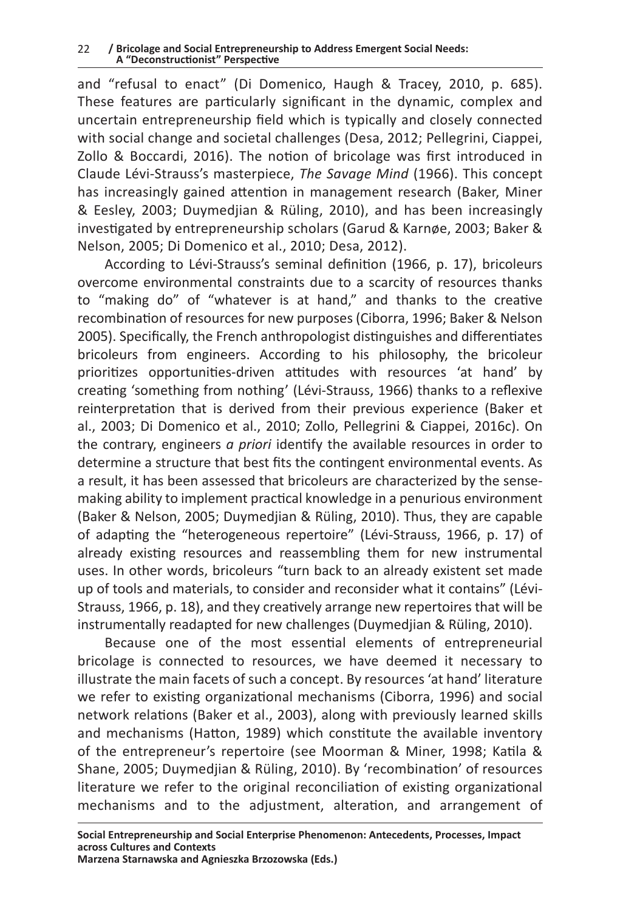and "refusal to enact" (Di Domenico, Haugh & Tracey, 2010, p. 685). These features are particularly significant in the dynamic, complex and uncertain entrepreneurship field which is typically and closely connected with social change and societal challenges (Desa, 2012; Pellegrini, Ciappei, Zollo & Boccardi, 2016). The notion of bricolage was first introduced in Claude Lévi-Strauss's masterpiece, *The Savage Mind* (1966). This concept has increasingly gained attention in management research (Baker, Miner & Eesley, 2003; Duymedjian & Rüling, 2010), and has been increasingly investigated by entrepreneurship scholars (Garud & Karnøe, 2003; Baker & Nelson, 2005; Di Domenico et al., 2010; Desa, 2012).

According to Lévi-Strauss's seminal definition (1966, p. 17), bricoleurs overcome environmental constraints due to a scarcity of resources thanks to "making do" of "whatever is at hand," and thanks to the creative recombination of resources for new purposes (Ciborra, 1996; Baker & Nelson 2005). Specifically, the French anthropologist distinguishes and differentiates bricoleurs from engineers. According to his philosophy, the bricoleur prioritizes opportunities-driven attitudes with resources 'at hand' by creating 'something from nothing' (Lévi-Strauss, 1966) thanks to a reflexive reinterpretation that is derived from their previous experience (Baker et al., 2003; Di Domenico et al., 2010; Zollo, Pellegrini & Ciappei, 2016c). On the contrary, engineers *a priori* identify the available resources in order to determine a structure that best fits the contingent environmental events. As a result, it has been assessed that bricoleurs are characterized by the sensemaking ability to implement practical knowledge in a penurious environment (Baker & Nelson, 2005; Duymedjian & Rüling, 2010). Thus, they are capable of adapting the "heterogeneous repertoire" (Lévi-Strauss, 1966, p. 17) of already existing resources and reassembling them for new instrumental uses. In other words, bricoleurs "turn back to an already existent set made up of tools and materials, to consider and reconsider what it contains" (Lévi-Strauss, 1966, p. 18), and they creatively arrange new repertoires that will be instrumentally readapted for new challenges (Duymedjian & Rüling, 2010).

Because one of the most essential elements of entrepreneurial bricolage is connected to resources, we have deemed it necessary to illustrate the main facets of such a concept. By resources 'at hand' literature we refer to existing organizational mechanisms (Ciborra, 1996) and social network relations (Baker et al., 2003), along with previously learned skills and mechanisms (Hatton, 1989) which constitute the available inventory of the entrepreneur's repertoire (see Moorman & Miner, 1998; Katila & Shane, 2005; Duymedjian & Rüling, 2010). By 'recombination' of resources literature we refer to the original reconciliation of existing organizational mechanisms and to the adjustment, alteration, and arrangement of

**Social Entrepreneurship and Social Enterprise Phenomenon: Antecedents, Processes, Impact across Cultures and Contexts Marzena Starnawska and Agnieszka Brzozowska (Eds.)**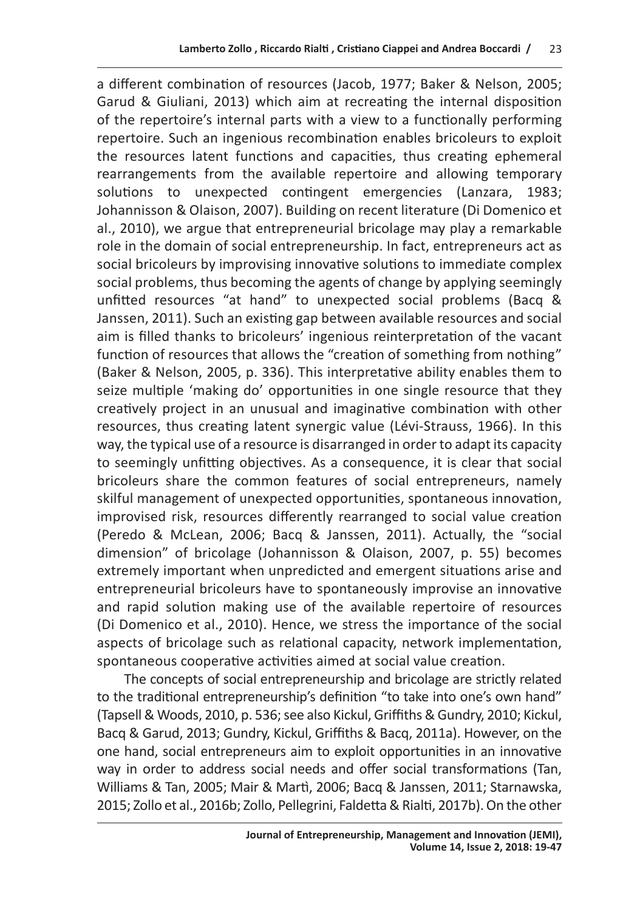a different combination of resources (Jacob, 1977; Baker & Nelson, 2005; Garud & Giuliani, 2013) which aim at recreating the internal disposition of the repertoire's internal parts with a view to a functionally performing repertoire. Such an ingenious recombination enables bricoleurs to exploit the resources latent functions and capacities, thus creating ephemeral rearrangements from the available repertoire and allowing temporary solutions to unexpected contingent emergencies (Lanzara, 1983; Johannisson & Olaison, 2007). Building on recent literature (Di Domenico et al., 2010), we argue that entrepreneurial bricolage may play a remarkable role in the domain of social entrepreneurship. In fact, entrepreneurs act as social bricoleurs by improvising innovative solutions to immediate complex social problems, thus becoming the agents of change by applying seemingly unfitted resources "at hand" to unexpected social problems (Bacq & Janssen, 2011). Such an existing gap between available resources and social aim is filled thanks to bricoleurs' ingenious reinterpretation of the vacant function of resources that allows the "creation of something from nothing" (Baker & Nelson, 2005, p. 336). This interpretative ability enables them to seize multiple 'making do' opportunities in one single resource that they creatively project in an unusual and imaginative combination with other resources, thus creating latent synergic value (Lévi-Strauss, 1966). In this way, the typical use of a resource is disarranged in order to adapt its capacity to seemingly unfitting objectives. As a consequence, it is clear that social bricoleurs share the common features of social entrepreneurs, namely skilful management of unexpected opportunities, spontaneous innovation, improvised risk, resources differently rearranged to social value creation (Peredo & McLean, 2006; Bacq & Janssen, 2011). Actually, the "social dimension" of bricolage (Johannisson & Olaison, 2007, p. 55) becomes extremely important when unpredicted and emergent situations arise and entrepreneurial bricoleurs have to spontaneously improvise an innovative and rapid solution making use of the available repertoire of resources (Di Domenico et al., 2010). Hence, we stress the importance of the social aspects of bricolage such as relational capacity, network implementation, spontaneous cooperative activities aimed at social value creation.

The concepts of social entrepreneurship and bricolage are strictly related to the traditional entrepreneurship's definition "to take into one's own hand" (Tapsell & Woods, 2010, p. 536; see also Kickul, Griffiths & Gundry, 2010; Kickul, Bacq & Garud, 2013; Gundry, Kickul, Griffiths & Bacq, 2011a). However, on the one hand, social entrepreneurs aim to exploit opportunities in an innovative way in order to address social needs and offer social transformations (Tan, Williams & Tan, 2005; Mair & Martì, 2006; Bacq & Janssen, 2011; Starnawska, 2015; Zollo et al., 2016b; Zollo, Pellegrini, Faldetta & Rialti, 2017b). On the other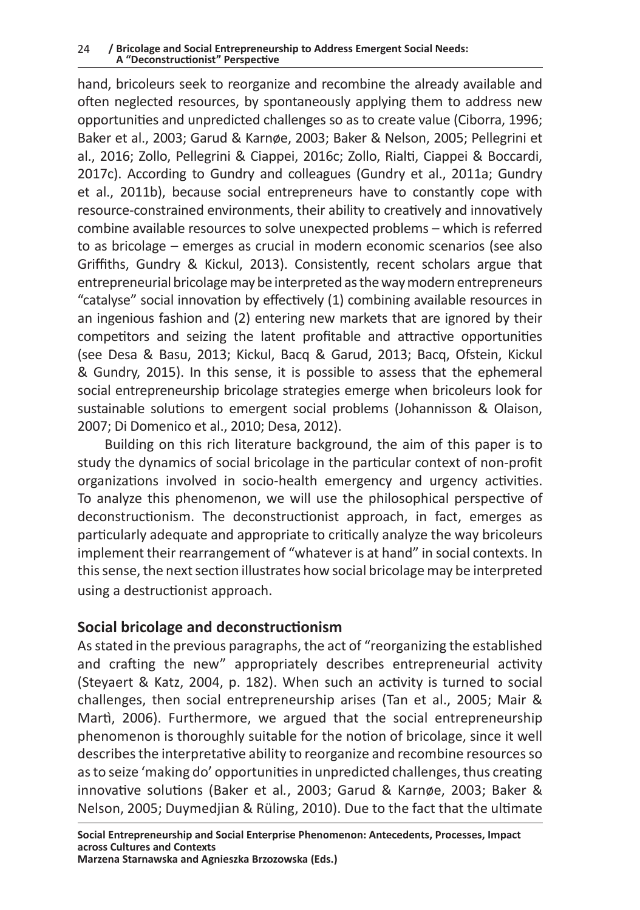hand, bricoleurs seek to reorganize and recombine the already available and often neglected resources, by spontaneously applying them to address new opportunities and unpredicted challenges so as to create value (Ciborra, 1996; Baker et al., 2003; Garud & Karnøe, 2003; Baker & Nelson, 2005; Pellegrini et al., 2016; Zollo, Pellegrini & Ciappei, 2016c; Zollo, Rialti, Ciappei & Boccardi, 2017c). According to Gundry and colleagues (Gundry et al., 2011a; Gundry et al., 2011b), because social entrepreneurs have to constantly cope with resource-constrained environments, their ability to creatively and innovatively combine available resources to solve unexpected problems – which is referred to as bricolage – emerges as crucial in modern economic scenarios (see also Griffiths, Gundry & Kickul, 2013). Consistently, recent scholars argue that entrepreneurial bricolage may be interpreted as the way modern entrepreneurs "catalyse" social innovation by effectively (1) combining available resources in an ingenious fashion and (2) entering new markets that are ignored by their competitors and seizing the latent profitable and attractive opportunities (see Desa & Basu, 2013; Kickul, Bacq & Garud, 2013; Bacq, Ofstein, Kickul & Gundry, 2015). In this sense, it is possible to assess that the ephemeral social entrepreneurship bricolage strategies emerge when bricoleurs look for sustainable solutions to emergent social problems (Johannisson & Olaison, 2007; Di Domenico et al., 2010; Desa, 2012).

Building on this rich literature background, the aim of this paper is to study the dynamics of social bricolage in the particular context of non-profit organizations involved in socio-health emergency and urgency activities. To analyze this phenomenon, we will use the philosophical perspective of deconstructionism. The deconstructionist approach, in fact, emerges as particularly adequate and appropriate to critically analyze the way bricoleurs implement their rearrangement of "whatever is at hand" in social contexts. In this sense, the next section illustrates how social bricolage may be interpreted using a destructionist approach.

# **Social bricolage and deconstructionism**

As stated in the previous paragraphs, the act of "reorganizing the established and crafting the new" appropriately describes entrepreneurial activity (Steyaert & Katz, 2004, p. 182). When such an activity is turned to social challenges, then social entrepreneurship arises (Tan et al., 2005; Mair & Martì, 2006). Furthermore, we argued that the social entrepreneurship phenomenon is thoroughly suitable for the notion of bricolage, since it well describes the interpretative ability to reorganize and recombine resources so as to seize 'making do' opportunities in unpredicted challenges, thus creating innovative solutions (Baker et al*.*, 2003; Garud & Karnøe, 2003; Baker & Nelson, 2005; Duymedjian & Rüling, 2010). Due to the fact that the ultimate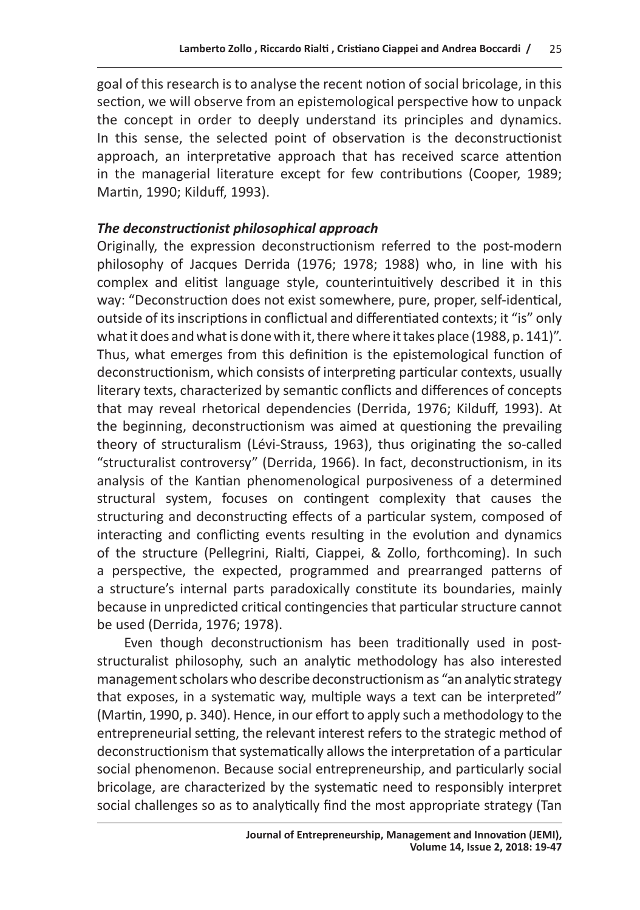goal of this research is to analyse the recent notion of social bricolage, in this section, we will observe from an epistemological perspective how to unpack the concept in order to deeply understand its principles and dynamics. In this sense, the selected point of observation is the deconstructionist approach, an interpretative approach that has received scarce attention in the managerial literature except for few contributions (Cooper, 1989; Martin, 1990; Kilduff, 1993).

## *The deconstructionist philosophical approach*

Originally, the expression deconstructionism referred to the post-modern philosophy of Jacques Derrida (1976; 1978; 1988) who, in line with his complex and elitist language style, counterintuitively described it in this way: "Deconstruction does not exist somewhere, pure, proper, self-identical, outside of its inscriptions in conflictual and differentiated contexts; it "is" only what it does and what is done with it, there where it takes place (1988, p. 141)". Thus, what emerges from this definition is the epistemological function of deconstructionism, which consists of interpreting particular contexts, usually literary texts, characterized by semantic conflicts and differences of concepts that may reveal rhetorical dependencies (Derrida, 1976; Kilduff, 1993). At the beginning, deconstructionism was aimed at questioning the prevailing theory of structuralism (Lévi-Strauss, 1963), thus originating the so-called "structuralist controversy" (Derrida, 1966). In fact, deconstructionism, in its analysis of the Kantian phenomenological purposiveness of a determined structural system, focuses on contingent complexity that causes the structuring and deconstructing effects of a particular system, composed of interacting and conflicting events resulting in the evolution and dynamics of the structure (Pellegrini, Rialti, Ciappei, & Zollo, forthcoming). In such a perspective, the expected, programmed and prearranged patterns of a structure's internal parts paradoxically constitute its boundaries, mainly because in unpredicted critical contingencies that particular structure cannot be used (Derrida, 1976; 1978).

Even though deconstructionism has been traditionally used in poststructuralist philosophy, such an analytic methodology has also interested management scholars who describe deconstructionism as "an analytic strategy that exposes, in a systematic way, multiple ways a text can be interpreted" (Martin, 1990, p. 340). Hence, in our effort to apply such a methodology to the entrepreneurial setting, the relevant interest refers to the strategic method of deconstructionism that systematically allows the interpretation of a particular social phenomenon. Because social entrepreneurship, and particularly social bricolage, are characterized by the systematic need to responsibly interpret social challenges so as to analytically find the most appropriate strategy (Tan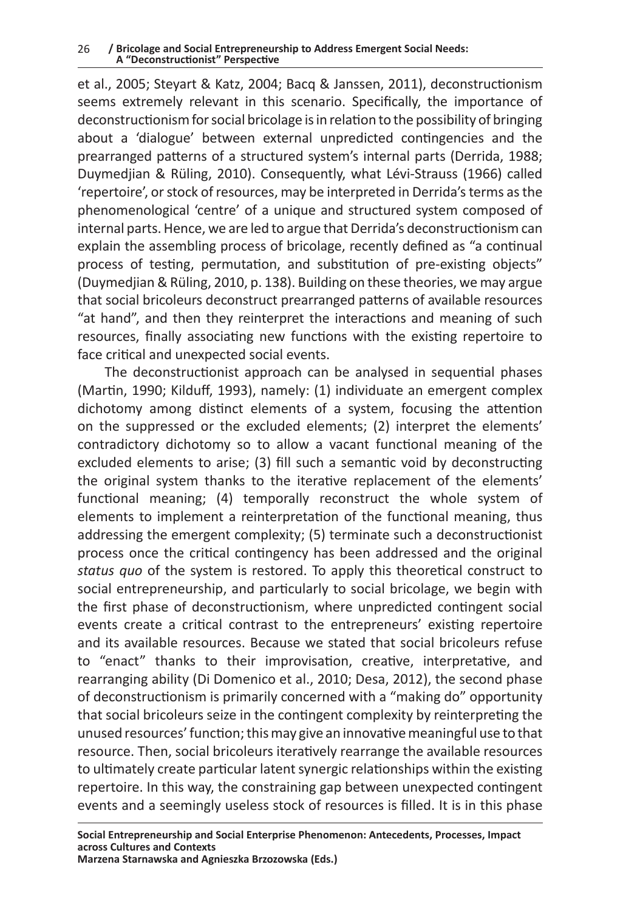et al., 2005; Steyart & Katz, 2004; Bacq & Janssen, 2011), deconstructionism seems extremely relevant in this scenario. Specifically, the importance of deconstructionism for social bricolage is in relation to the possibility of bringing about a 'dialogue' between external unpredicted contingencies and the prearranged patterns of a structured system's internal parts (Derrida, 1988; Duymedjian & Rüling, 2010). Consequently, what Lévi-Strauss (1966) called 'repertoire', or stock of resources, may be interpreted in Derrida's terms as the phenomenological 'centre' of a unique and structured system composed of internal parts. Hence, we are led to argue that Derrida's deconstructionism can explain the assembling process of bricolage, recently defined as "a continual process of testing, permutation, and substitution of pre-existing objects" (Duymedjian & Rüling, 2010, p. 138). Building on these theories, we may argue that social bricoleurs deconstruct prearranged patterns of available resources "at hand", and then they reinterpret the interactions and meaning of such resources, finally associating new functions with the existing repertoire to face critical and unexpected social events.

The deconstructionist approach can be analysed in sequential phases (Martin, 1990; Kilduff, 1993), namely: (1) individuate an emergent complex dichotomy among distinct elements of a system, focusing the attention on the suppressed or the excluded elements; (2) interpret the elements' contradictory dichotomy so to allow a vacant functional meaning of the excluded elements to arise; (3) fill such a semantic void by deconstructing the original system thanks to the iterative replacement of the elements' functional meaning; (4) temporally reconstruct the whole system of elements to implement a reinterpretation of the functional meaning, thus addressing the emergent complexity; (5) terminate such a deconstructionist process once the critical contingency has been addressed and the original *status quo* of the system is restored. To apply this theoretical construct to social entrepreneurship, and particularly to social bricolage, we begin with the first phase of deconstructionism, where unpredicted contingent social events create a critical contrast to the entrepreneurs' existing repertoire and its available resources. Because we stated that social bricoleurs refuse to "enact" thanks to their improvisation, creative, interpretative, and rearranging ability (Di Domenico et al., 2010; Desa, 2012), the second phase of deconstructionism is primarily concerned with a "making do" opportunity that social bricoleurs seize in the contingent complexity by reinterpreting the unused resources' function; this may give an innovative meaningful use to that resource. Then, social bricoleurs iteratively rearrange the available resources to ultimately create particular latent synergic relationships within the existing repertoire. In this way, the constraining gap between unexpected contingent events and a seemingly useless stock of resources is filled. It is in this phase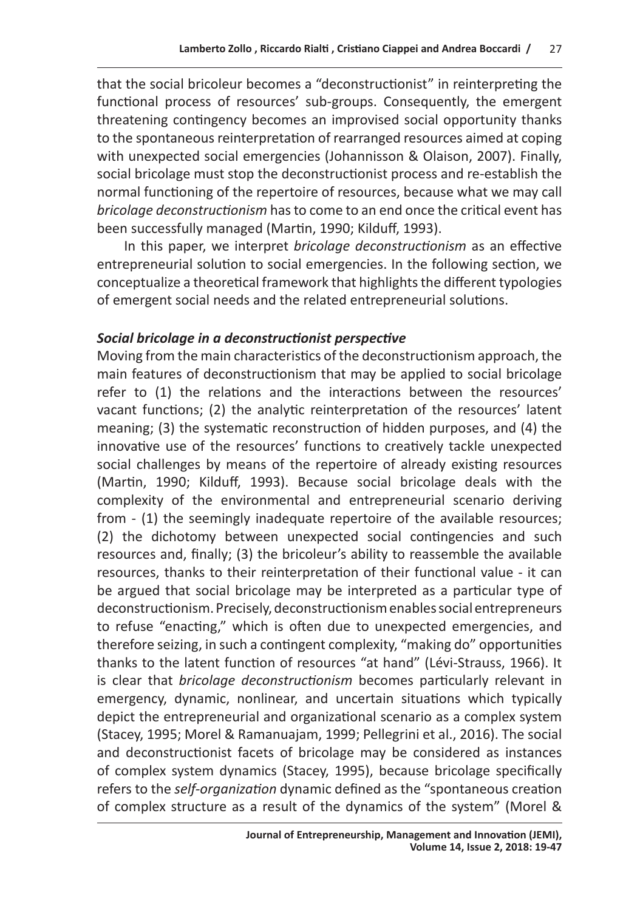that the social bricoleur becomes a "deconstructionist" in reinterpreting the functional process of resources' sub-groups. Consequently, the emergent threatening contingency becomes an improvised social opportunity thanks to the spontaneous reinterpretation of rearranged resources aimed at coping with unexpected social emergencies (Johannisson & Olaison, 2007). Finally, social bricolage must stop the deconstructionist process and re-establish the normal functioning of the repertoire of resources, because what we may call *bricolage deconstructionism* has to come to an end once the critical event has been successfully managed (Martin, 1990; Kilduff, 1993).

In this paper, we interpret *bricolage deconstructionism* as an effective entrepreneurial solution to social emergencies. In the following section, we conceptualize a theoretical framework that highlights the different typologies of emergent social needs and the related entrepreneurial solutions.

## *Social bricolage in a deconstructionist perspective*

Moving from the main characteristics of the deconstructionism approach, the main features of deconstructionism that may be applied to social bricolage refer to (1) the relations and the interactions between the resources' vacant functions; (2) the analytic reinterpretation of the resources' latent meaning; (3) the systematic reconstruction of hidden purposes, and (4) the innovative use of the resources' functions to creatively tackle unexpected social challenges by means of the repertoire of already existing resources (Martin, 1990; Kilduff, 1993). Because social bricolage deals with the complexity of the environmental and entrepreneurial scenario deriving from - (1) the seemingly inadequate repertoire of the available resources; (2) the dichotomy between unexpected social contingencies and such resources and, finally; (3) the bricoleur's ability to reassemble the available resources, thanks to their reinterpretation of their functional value - it can be argued that social bricolage may be interpreted as a particular type of deconstructionism. Precisely, deconstructionism enables social entrepreneurs to refuse "enacting," which is often due to unexpected emergencies, and therefore seizing, in such a contingent complexity, "making do" opportunities thanks to the latent function of resources "at hand" (Lévi-Strauss, 1966). It is clear that *bricolage deconstructionism* becomes particularly relevant in emergency, dynamic, nonlinear, and uncertain situations which typically depict the entrepreneurial and organizational scenario as a complex system (Stacey, 1995; Morel & Ramanuajam, 1999; Pellegrini et al., 2016). The social and deconstructionist facets of bricolage may be considered as instances of complex system dynamics (Stacey, 1995), because bricolage specifically refers to the *self-organization* dynamic defined as the "spontaneous creation of complex structure as a result of the dynamics of the system" (Morel &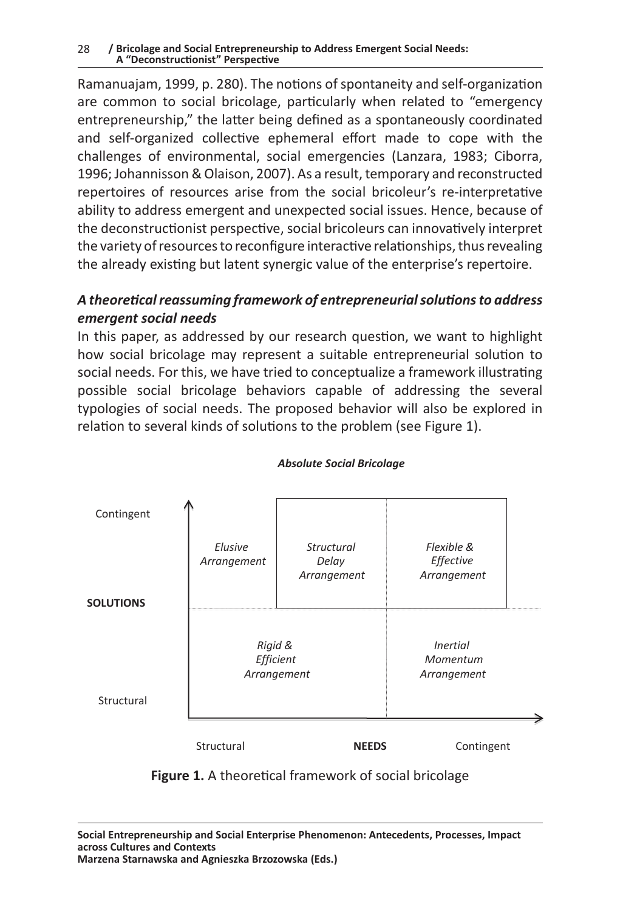Ramanuajam, 1999, p. 280). The notions of spontaneity and self-organization are common to social bricolage, particularly when related to "emergency entrepreneurship," the latter being defined as a spontaneously coordinated and self-organized collective ephemeral effort made to cope with the challenges of environmental, social emergencies (Lanzara, 1983; Ciborra, 1996; Johannisson & Olaison, 2007). As a result, temporary and reconstructed repertoires of resources arise from the social bricoleur's re-interpretative ability to address emergent and unexpected social issues. Hence, because of the deconstructionist perspective, social bricoleurs can innovatively interpret the variety of resources to reconfigure interactive relationships, thus revealing the already existing but latent synergic value of the enterprise's repertoire.

# A theoretical reassuming framework of entrepreneurial solutions to address *emergent social needs*

In this paper, as addressed by our research question, we want to highlight how social bricolage may represent a suitable entrepreneurial solution to social needs. For this, we have tried to conceptualize a framework illustrating possible social bricolage behaviors capable of addressing the several typologies of social needs. The proposed behavior will also be explored in relation to several kinds of solutions to the problem (see Figure 1).



## *Absolute Social Bricolage*

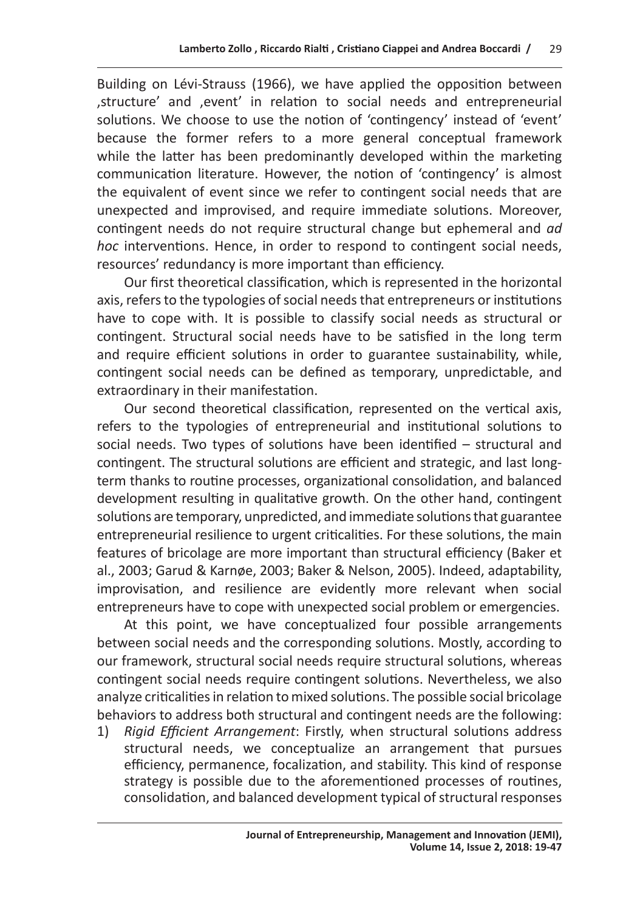Building on Lévi-Strauss (1966), we have applied the opposition between 'structure' and 'event' in relation to social needs and entrepreneurial solutions. We choose to use the notion of 'contingency' instead of 'event' because the former refers to a more general conceptual framework while the latter has been predominantly developed within the marketing communication literature. However, the notion of 'contingency' is almost the equivalent of event since we refer to contingent social needs that are unexpected and improvised, and require immediate solutions. Moreover, contingent needs do not require structural change but ephemeral and *ad hoc* interventions. Hence, in order to respond to contingent social needs, resources' redundancy is more important than efficiency.

Our first theoretical classification, which is represented in the horizontal axis, refers to the typologies of social needs that entrepreneurs or institutions have to cope with. It is possible to classify social needs as structural or contingent. Structural social needs have to be satisfied in the long term and require efficient solutions in order to guarantee sustainability, while, contingent social needs can be defined as temporary, unpredictable, and extraordinary in their manifestation.

Our second theoretical classification, represented on the vertical axis, refers to the typologies of entrepreneurial and institutional solutions to social needs. Two types of solutions have been identified – structural and contingent. The structural solutions are efficient and strategic, and last longterm thanks to routine processes, organizational consolidation, and balanced development resulting in qualitative growth. On the other hand, contingent solutions are temporary, unpredicted, and immediate solutions that guarantee entrepreneurial resilience to urgent criticalities. For these solutions, the main features of bricolage are more important than structural efficiency (Baker et al., 2003; Garud & Karnøe, 2003; Baker & Nelson, 2005). Indeed, adaptability, improvisation, and resilience are evidently more relevant when social entrepreneurs have to cope with unexpected social problem or emergencies.

At this point, we have conceptualized four possible arrangements between social needs and the corresponding solutions. Mostly, according to our framework, structural social needs require structural solutions, whereas contingent social needs require contingent solutions. Nevertheless, we also analyze criticalities in relation to mixed solutions. The possible social bricolage behaviors to address both structural and contingent needs are the following:

1) *Rigid Efficient Arrangement*: Firstly, when structural solutions address structural needs, we conceptualize an arrangement that pursues efficiency, permanence, focalization, and stability. This kind of response strategy is possible due to the aforementioned processes of routines, consolidation, and balanced development typical of structural responses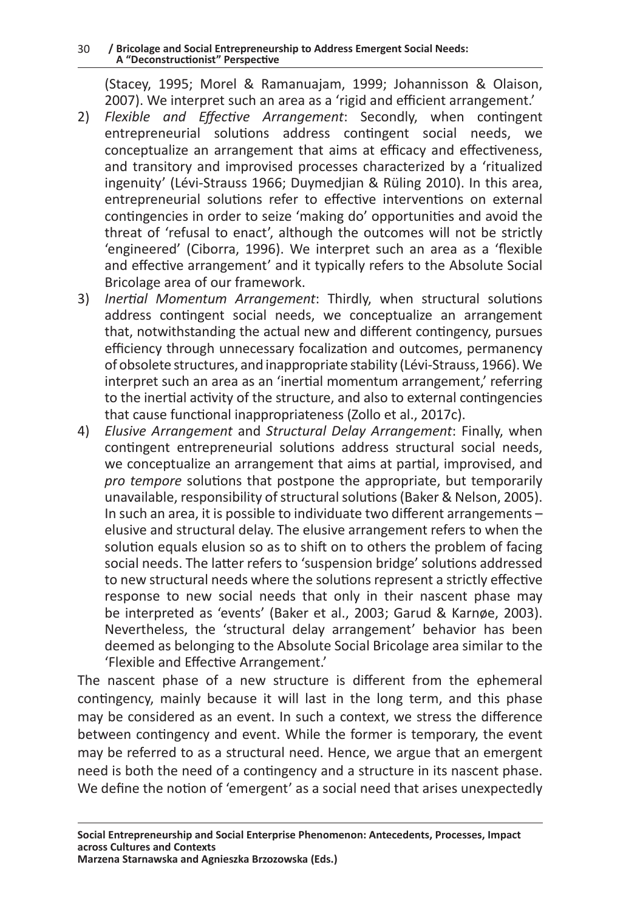(Stacey, 1995; Morel & Ramanuajam, 1999; Johannisson & Olaison, 2007). We interpret such an area as a 'rigid and efficient arrangement.'

- 2) *Flexible and Effective Arrangement*: Secondly, when contingent entrepreneurial solutions address contingent social needs, we conceptualize an arrangement that aims at efficacy and effectiveness, and transitory and improvised processes characterized by a 'ritualized ingenuity' (Lévi-Strauss 1966; Duymedjian & Rüling 2010). In this area, entrepreneurial solutions refer to effective interventions on external contingencies in order to seize 'making do' opportunities and avoid the threat of 'refusal to enact', although the outcomes will not be strictly 'engineered' (Ciborra, 1996). We interpret such an area as a 'flexible and effective arrangement' and it typically refers to the Absolute Social Bricolage area of our framework.
- 3) *Inertial Momentum Arrangement*: Thirdly, when structural solutions address contingent social needs, we conceptualize an arrangement that, notwithstanding the actual new and different contingency, pursues efficiency through unnecessary focalization and outcomes, permanency of obsolete structures, and inappropriate stability (Lévi-Strauss, 1966). We interpret such an area as an 'inertial momentum arrangement,' referring to the inertial activity of the structure, and also to external contingencies that cause functional inappropriateness (Zollo et al., 2017c).
- 4) *Elusive Arrangement* and *Structural Delay Arrangement*: Finally, when contingent entrepreneurial solutions address structural social needs, we conceptualize an arrangement that aims at partial, improvised, and *pro tempore* solutions that postpone the appropriate, but temporarily unavailable, responsibility of structural solutions (Baker & Nelson, 2005). In such an area, it is possible to individuate two different arrangements – elusive and structural delay. The elusive arrangement refers to when the solution equals elusion so as to shift on to others the problem of facing social needs. The latter refers to 'suspension bridge' solutions addressed to new structural needs where the solutions represent a strictly effective response to new social needs that only in their nascent phase may be interpreted as 'events' (Baker et al., 2003; Garud & Karnøe, 2003). Nevertheless, the 'structural delay arrangement' behavior has been deemed as belonging to the Absolute Social Bricolage area similar to the 'Flexible and Effective Arrangement.'

The nascent phase of a new structure is different from the ephemeral contingency, mainly because it will last in the long term, and this phase may be considered as an event. In such a context, we stress the difference between contingency and event. While the former is temporary, the event may be referred to as a structural need. Hence, we argue that an emergent need is both the need of a contingency and a structure in its nascent phase. We define the notion of 'emergent' as a social need that arises unexpectedly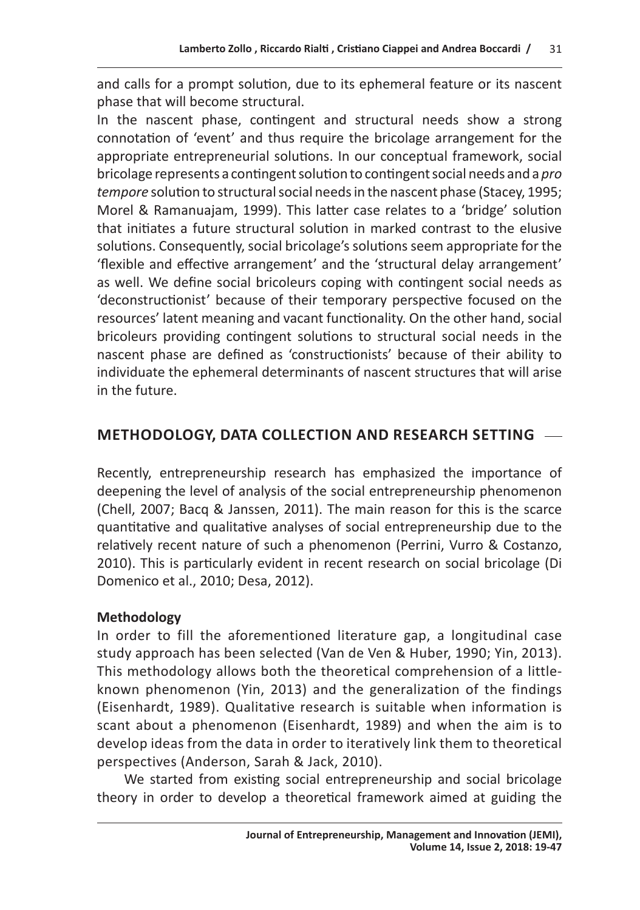and calls for a prompt solution, due to its ephemeral feature or its nascent phase that will become structural.

In the nascent phase, contingent and structural needs show a strong connotation of 'event' and thus require the bricolage arrangement for the appropriate entrepreneurial solutions. In our conceptual framework, social bricolage represents a contingent solution to contingent social needs and a *pro tempore* solution to structural social needs in the nascent phase (Stacey, 1995; Morel & Ramanuajam, 1999). This latter case relates to a 'bridge' solution that initiates a future structural solution in marked contrast to the elusive solutions. Consequently, social bricolage's solutions seem appropriate for the 'flexible and effective arrangement' and the 'structural delay arrangement' as well. We define social bricoleurs coping with contingent social needs as 'deconstructionist' because of their temporary perspective focused on the resources' latent meaning and vacant functionality. On the other hand, social bricoleurs providing contingent solutions to structural social needs in the nascent phase are defined as 'constructionists' because of their ability to individuate the ephemeral determinants of nascent structures that will arise in the future.

# **METHODOLOGY, DATA COLLECTION AND RESEARCH SETTING**

Recently, entrepreneurship research has emphasized the importance of deepening the level of analysis of the social entrepreneurship phenomenon (Chell, 2007; Bacq & Janssen, 2011). The main reason for this is the scarce quantitative and qualitative analyses of social entrepreneurship due to the relatively recent nature of such a phenomenon (Perrini, Vurro & Costanzo, 2010). This is particularly evident in recent research on social bricolage (Di Domenico et al., 2010; Desa, 2012).

# **Methodology**

In order to fill the aforementioned literature gap, a longitudinal case study approach has been selected (Van de Ven & Huber, 1990; Yin, 2013). This methodology allows both the theoretical comprehension of a littleknown phenomenon (Yin, 2013) and the generalization of the findings (Eisenhardt, 1989). Qualitative research is suitable when information is scant about a phenomenon (Eisenhardt, 1989) and when the aim is to develop ideas from the data in order to iteratively link them to theoretical perspectives (Anderson, Sarah & Jack, 2010).

We started from existing social entrepreneurship and social bricolage theory in order to develop a theoretical framework aimed at guiding the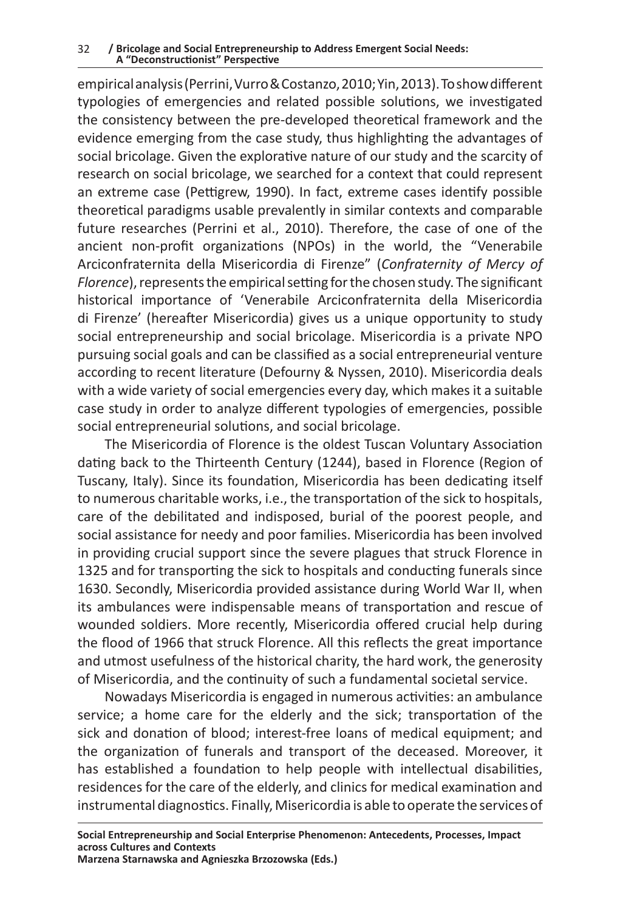empirical analysis (Perrini, Vurro & Costanzo, 2010; Yin, 2013). To show different typologies of emergencies and related possible solutions, we investigated the consistency between the pre-developed theoretical framework and the evidence emerging from the case study, thus highlighting the advantages of social bricolage. Given the explorative nature of our study and the scarcity of research on social bricolage, we searched for a context that could represent an extreme case (Pettigrew, 1990). In fact, extreme cases identify possible theoretical paradigms usable prevalently in similar contexts and comparable future researches (Perrini et al., 2010). Therefore, the case of one of the ancient non-profit organizations (NPOs) in the world, the "Venerabile Arciconfraternita della Misericordia di Firenze" (*Confraternity of Mercy of Florence*), represents the empirical setting for the chosen study. The significant historical importance of 'Venerabile Arciconfraternita della Misericordia di Firenze' (hereafter Misericordia) gives us a unique opportunity to study social entrepreneurship and social bricolage. Misericordia is a private NPO pursuing social goals and can be classified as a social entrepreneurial venture according to recent literature (Defourny & Nyssen, 2010). Misericordia deals with a wide variety of social emergencies every day, which makes it a suitable case study in order to analyze different typologies of emergencies, possible social entrepreneurial solutions, and social bricolage.

The Misericordia of Florence is the oldest Tuscan Voluntary Association dating back to the Thirteenth Century (1244), based in Florence (Region of Tuscany, Italy). Since its foundation, Misericordia has been dedicating itself to numerous charitable works, i.e., the transportation of the sick to hospitals, care of the debilitated and indisposed, burial of the poorest people, and social assistance for needy and poor families. Misericordia has been involved in providing crucial support since the severe plagues that struck Florence in 1325 and for transporting the sick to hospitals and conducting funerals since 1630. Secondly, Misericordia provided assistance during World War II, when its ambulances were indispensable means of transportation and rescue of wounded soldiers. More recently, Misericordia offered crucial help during the flood of 1966 that struck Florence. All this reflects the great importance and utmost usefulness of the historical charity, the hard work, the generosity of Misericordia, and the continuity of such a fundamental societal service.

Nowadays Misericordia is engaged in numerous activities: an ambulance service; a home care for the elderly and the sick; transportation of the sick and donation of blood; interest-free loans of medical equipment; and the organization of funerals and transport of the deceased. Moreover, it has established a foundation to help people with intellectual disabilities, residences for the care of the elderly, and clinics for medical examination and instrumental diagnostics. Finally, Misericordia is able to operate the services of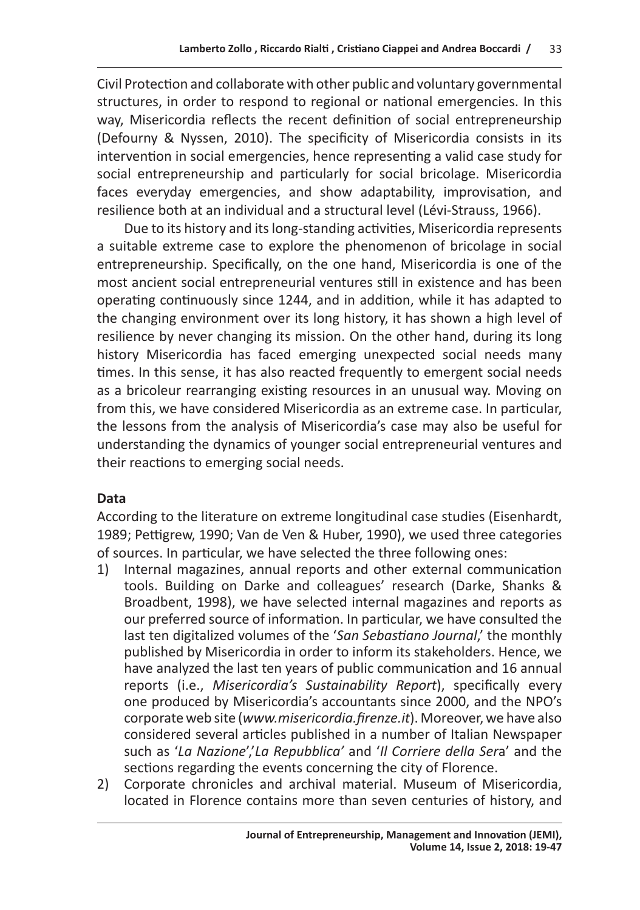Civil Protection and collaborate with other public and voluntary governmental structures, in order to respond to regional or national emergencies. In this way, Misericordia reflects the recent definition of social entrepreneurship (Defourny & Nyssen, 2010). The specificity of Misericordia consists in its intervention in social emergencies, hence representing a valid case study for social entrepreneurship and particularly for social bricolage. Misericordia faces everyday emergencies, and show adaptability, improvisation, and resilience both at an individual and a structural level (Lévi-Strauss, 1966).

Due to its history and its long-standing activities, Misericordia represents a suitable extreme case to explore the phenomenon of bricolage in social entrepreneurship. Specifically, on the one hand, Misericordia is one of the most ancient social entrepreneurial ventures still in existence and has been operating continuously since 1244, and in addition, while it has adapted to the changing environment over its long history, it has shown a high level of resilience by never changing its mission. On the other hand, during its long history Misericordia has faced emerging unexpected social needs many times. In this sense, it has also reacted frequently to emergent social needs as a bricoleur rearranging existing resources in an unusual way. Moving on from this, we have considered Misericordia as an extreme case. In particular, the lessons from the analysis of Misericordia's case may also be useful for understanding the dynamics of younger social entrepreneurial ventures and their reactions to emerging social needs.

## **Data**

According to the literature on extreme longitudinal case studies (Eisenhardt, 1989; Pettigrew, 1990; Van de Ven & Huber, 1990), we used three categories of sources. In particular, we have selected the three following ones:

- 1) Internal magazines, annual reports and other external communication tools. Building on Darke and colleagues' research (Darke, Shanks & Broadbent, 1998), we have selected internal magazines and reports as our preferred source of information. In particular, we have consulted the last ten digitalized volumes of the '*San Sebastiano Journal*,' the monthly published by Misericordia in order to inform its stakeholders. Hence, we have analyzed the last ten years of public communication and 16 annual reports (i.e., *Misericordia's Sustainability Report*), specifically every one produced by Misericordia's accountants since 2000, and the NPO's corporate web site (*www.misericordia.firenze.it*). Moreover, we have also considered several articles published in a number of Italian Newspaper such as '*La Nazione*','*La Repubblica'* and '*Il Corriere della Ser*a' and the sections regarding the events concerning the city of Florence.
- 2) Corporate chronicles and archival material. Museum of Misericordia, located in Florence contains more than seven centuries of history, and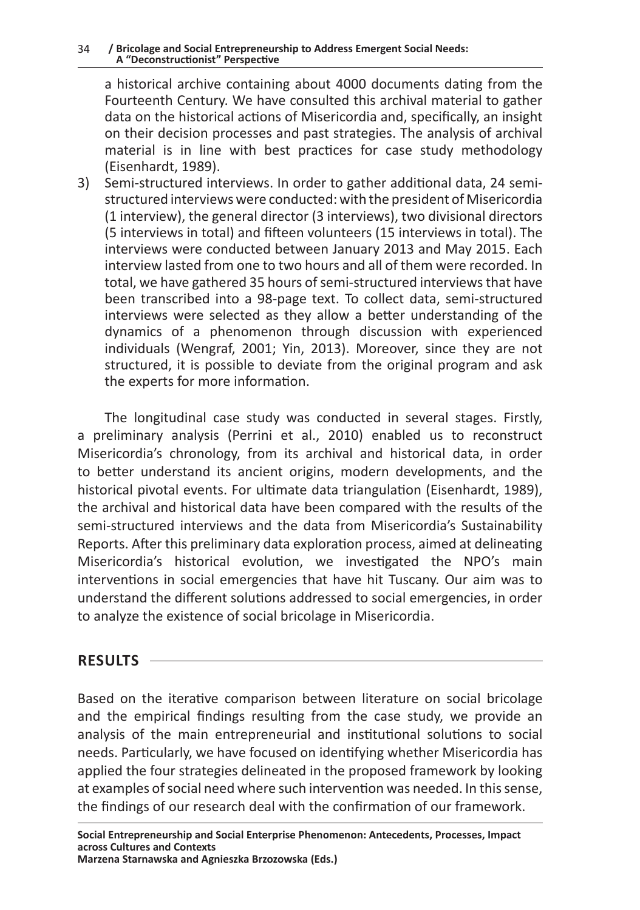a historical archive containing about 4000 documents dating from the Fourteenth Century. We have consulted this archival material to gather data on the historical actions of Misericordia and, specifically, an insight on their decision processes and past strategies. The analysis of archival material is in line with best practices for case study methodology (Eisenhardt, 1989).

3) Semi-structured interviews. In order to gather additional data, 24 semistructured interviews were conducted: with the president of Misericordia (1 interview), the general director (3 interviews), two divisional directors (5 interviews in total) and fifteen volunteers (15 interviews in total). The interviews were conducted between January 2013 and May 2015. Each interview lasted from one to two hours and all of them were recorded. In total, we have gathered 35 hours of semi-structured interviews that have been transcribed into a 98-page text. To collect data, semi-structured interviews were selected as they allow a better understanding of the dynamics of a phenomenon through discussion with experienced individuals (Wengraf, 2001; Yin, 2013). Moreover, since they are not structured, it is possible to deviate from the original program and ask the experts for more information.

The longitudinal case study was conducted in several stages. Firstly, a preliminary analysis (Perrini et al., 2010) enabled us to reconstruct Misericordia's chronology, from its archival and historical data, in order to better understand its ancient origins, modern developments, and the historical pivotal events. For ultimate data triangulation (Eisenhardt, 1989), the archival and historical data have been compared with the results of the semi-structured interviews and the data from Misericordia's Sustainability Reports. After this preliminary data exploration process, aimed at delineating Misericordia's historical evolution, we investigated the NPO's main interventions in social emergencies that have hit Tuscany. Our aim was to understand the different solutions addressed to social emergencies, in order to analyze the existence of social bricolage in Misericordia.

# **RESULTS**

Based on the iterative comparison between literature on social bricolage and the empirical findings resulting from the case study, we provide an analysis of the main entrepreneurial and institutional solutions to social needs. Particularly, we have focused on identifying whether Misericordia has applied the four strategies delineated in the proposed framework by looking at examples of social need where such intervention was needed. In this sense, the findings of our research deal with the confirmation of our framework.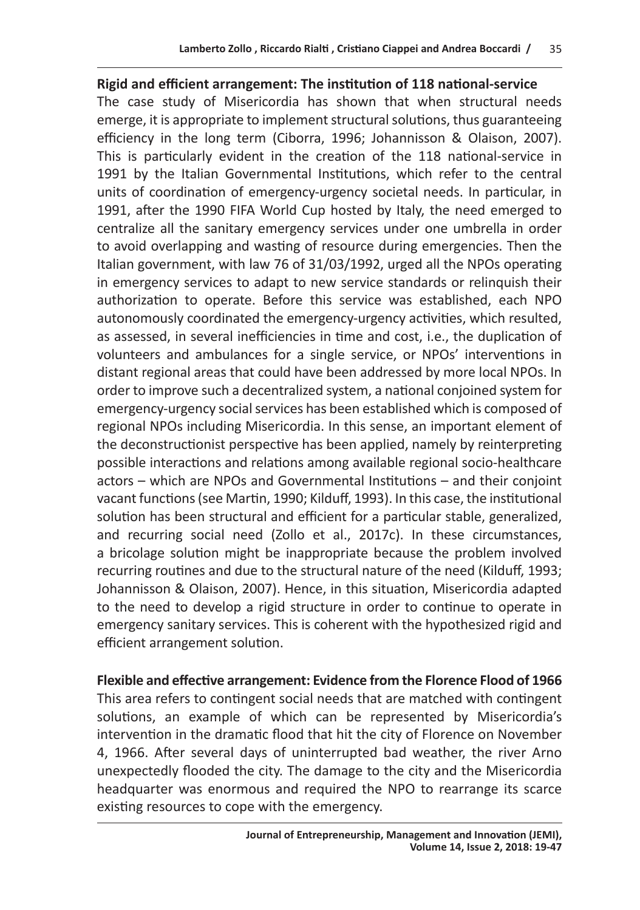## **Rigid and efficient arrangement: The institution of 118 national-service**

The case study of Misericordia has shown that when structural needs emerge, it is appropriate to implement structural solutions, thus guaranteeing efficiency in the long term (Ciborra, 1996; Johannisson & Olaison, 2007). This is particularly evident in the creation of the 118 national-service in 1991 by the Italian Governmental Institutions, which refer to the central units of coordination of emergency-urgency societal needs. In particular, in 1991, after the 1990 FIFA World Cup hosted by Italy, the need emerged to centralize all the sanitary emergency services under one umbrella in order to avoid overlapping and wasting of resource during emergencies. Then the Italian government, with law 76 of 31/03/1992, urged all the NPOs operating in emergency services to adapt to new service standards or relinquish their authorization to operate. Before this service was established, each NPO autonomously coordinated the emergency-urgency activities, which resulted, as assessed, in several inefficiencies in time and cost, i.e., the duplication of volunteers and ambulances for a single service, or NPOs' interventions in distant regional areas that could have been addressed by more local NPOs. In order to improve such a decentralized system, a national conjoined system for emergency-urgency social services has been established which is composed of regional NPOs including Misericordia. In this sense, an important element of the deconstructionist perspective has been applied, namely by reinterpreting possible interactions and relations among available regional socio-healthcare actors – which are NPOs and Governmental Institutions – and their conjoint vacant functions (see Martin, 1990; Kilduff, 1993). In this case, the institutional solution has been structural and efficient for a particular stable, generalized, and recurring social need (Zollo et al., 2017c). In these circumstances, a bricolage solution might be inappropriate because the problem involved recurring routines and due to the structural nature of the need (Kilduff, 1993; Johannisson & Olaison, 2007). Hence, in this situation, Misericordia adapted to the need to develop a rigid structure in order to continue to operate in emergency sanitary services. This is coherent with the hypothesized rigid and efficient arrangement solution.

## **Flexible and effective arrangement: Evidence from the Florence Flood of 1966**

This area refers to contingent social needs that are matched with contingent solutions, an example of which can be represented by Misericordia's intervention in the dramatic flood that hit the city of Florence on November 4, 1966. After several days of uninterrupted bad weather, the river Arno unexpectedly flooded the city. The damage to the city and the Misericordia headquarter was enormous and required the NPO to rearrange its scarce existing resources to cope with the emergency.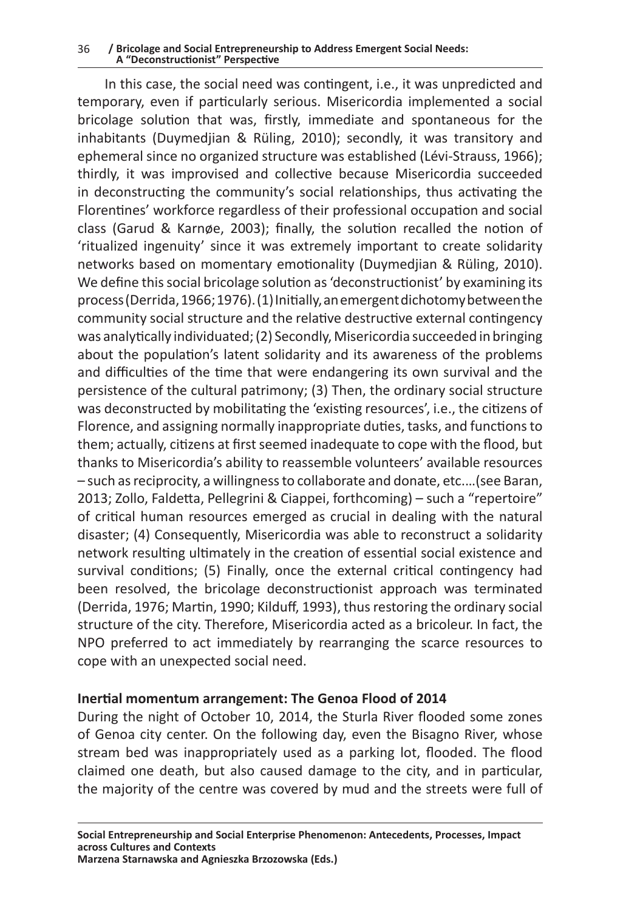In this case, the social need was contingent, i.e., it was unpredicted and temporary, even if particularly serious. Misericordia implemented a social bricolage solution that was, firstly, immediate and spontaneous for the inhabitants (Duymedjian & Rüling, 2010); secondly, it was transitory and ephemeral since no organized structure was established (Lévi-Strauss, 1966); thirdly, it was improvised and collective because Misericordia succeeded in deconstructing the community's social relationships, thus activating the Florentines' workforce regardless of their professional occupation and social class (Garud & Karnøe, 2003); finally, the solution recalled the notion of 'ritualized ingenuity' since it was extremely important to create solidarity networks based on momentary emotionality (Duymedjian & Rüling, 2010). We define this social bricolage solution as 'deconstructionist' by examining its process (Derrida, 1966; 1976). (1) Initially, an emergent dichotomy between the community social structure and the relative destructive external contingency was analytically individuated; (2) Secondly, Misericordia succeeded in bringing about the population's latent solidarity and its awareness of the problems and difficulties of the time that were endangering its own survival and the persistence of the cultural patrimony; (3) Then, the ordinary social structure was deconstructed by mobilitating the 'existing resources', i.e., the citizens of Florence, and assigning normally inappropriate duties, tasks, and functions to them; actually, citizens at first seemed inadequate to cope with the flood, but thanks to Misericordia's ability to reassemble volunteers' available resources – such as reciprocity, a willingness to collaborate and donate, etc.…(see Baran, 2013; Zollo, Faldetta, Pellegrini & Ciappei, forthcoming) – such a "repertoire" of critical human resources emerged as crucial in dealing with the natural disaster; (4) Consequently, Misericordia was able to reconstruct a solidarity network resulting ultimately in the creation of essential social existence and survival conditions; (5) Finally, once the external critical contingency had been resolved, the bricolage deconstructionist approach was terminated (Derrida, 1976; Martin, 1990; Kilduff, 1993), thus restoring the ordinary social structure of the city. Therefore, Misericordia acted as a bricoleur. In fact, the NPO preferred to act immediately by rearranging the scarce resources to cope with an unexpected social need.

## **Inertial momentum arrangement: The Genoa Flood of 2014**

During the night of October 10, 2014, the Sturla River flooded some zones of Genoa city center. On the following day, even the Bisagno River, whose stream bed was inappropriately used as a parking lot, flooded. The flood claimed one death, but also caused damage to the city, and in particular, the majority of the centre was covered by mud and the streets were full of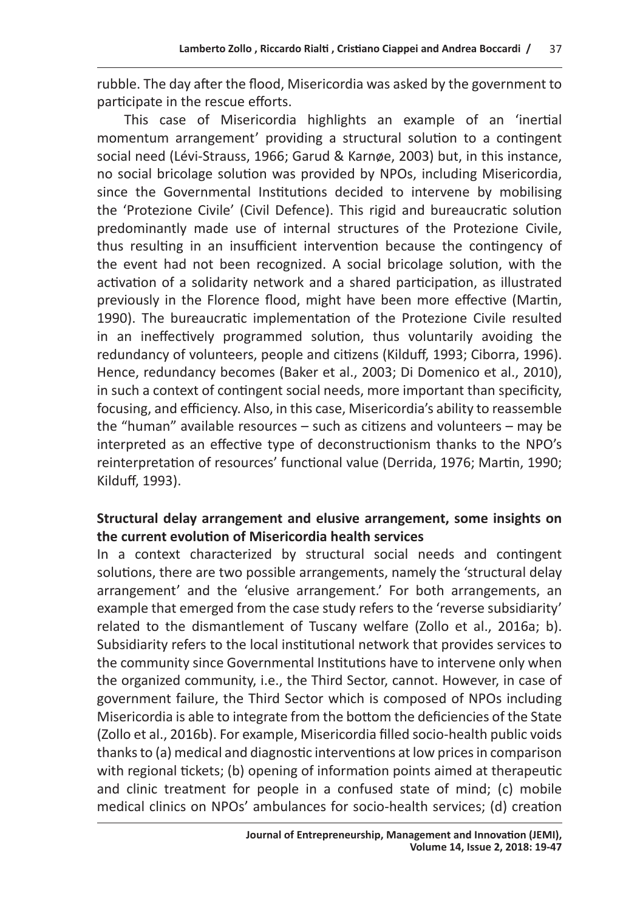rubble. The day after the flood, Misericordia was asked by the government to participate in the rescue efforts.

This case of Misericordia highlights an example of an 'inertial momentum arrangement' providing a structural solution to a contingent social need (Lévi-Strauss, 1966; Garud & Karnøe, 2003) but, in this instance, no social bricolage solution was provided by NPOs, including Misericordia, since the Governmental Institutions decided to intervene by mobilising the 'Protezione Civile' (Civil Defence). This rigid and bureaucratic solution predominantly made use of internal structures of the Protezione Civile, thus resulting in an insufficient intervention because the contingency of the event had not been recognized. A social bricolage solution, with the activation of a solidarity network and a shared participation, as illustrated previously in the Florence flood, might have been more effective (Martin, 1990). The bureaucratic implementation of the Protezione Civile resulted in an ineffectively programmed solution, thus voluntarily avoiding the redundancy of volunteers, people and citizens (Kilduff, 1993; Ciborra, 1996). Hence, redundancy becomes (Baker et al., 2003; Di Domenico et al., 2010), in such a context of contingent social needs, more important than specificity, focusing, and efficiency. Also, in this case, Misericordia's ability to reassemble the "human" available resources – such as citizens and volunteers – may be interpreted as an effective type of deconstructionism thanks to the NPO's reinterpretation of resources' functional value (Derrida, 1976; Martin, 1990; Kilduff, 1993).

## **Structural delay arrangement and elusive arrangement, some insights on the current evolution of Misericordia health services**

In a context characterized by structural social needs and contingent solutions, there are two possible arrangements, namely the 'structural delay arrangement' and the 'elusive arrangement.' For both arrangements, an example that emerged from the case study refers to the 'reverse subsidiarity' related to the dismantlement of Tuscany welfare (Zollo et al., 2016a; b). Subsidiarity refers to the local institutional network that provides services to the community since Governmental Institutions have to intervene only when the organized community, i.e., the Third Sector, cannot. However, in case of government failure, the Third Sector which is composed of NPOs including Misericordia is able to integrate from the bottom the deficiencies of the State (Zollo et al., 2016b). For example, Misericordia filled socio-health public voids thanks to (a) medical and diagnostic interventions at low prices in comparison with regional tickets; (b) opening of information points aimed at therapeutic and clinic treatment for people in a confused state of mind; (c) mobile medical clinics on NPOs' ambulances for socio-health services; (d) creation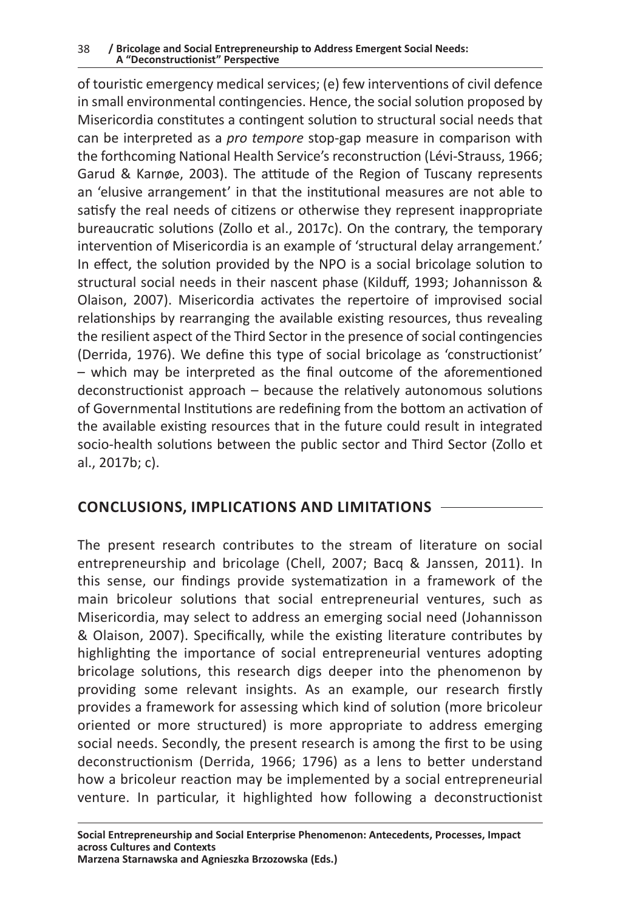of touristic emergency medical services; (e) few interventions of civil defence in small environmental contingencies. Hence, the social solution proposed by Misericordia constitutes a contingent solution to structural social needs that can be interpreted as a *pro tempore* stop-gap measure in comparison with the forthcoming National Health Service's reconstruction (Lévi-Strauss, 1966; Garud & Karnøe, 2003). The attitude of the Region of Tuscany represents an 'elusive arrangement' in that the institutional measures are not able to satisfy the real needs of citizens or otherwise they represent inappropriate bureaucratic solutions (Zollo et al., 2017c). On the contrary, the temporary intervention of Misericordia is an example of 'structural delay arrangement.' In effect, the solution provided by the NPO is a social bricolage solution to structural social needs in their nascent phase (Kilduff, 1993; Johannisson & Olaison, 2007). Misericordia activates the repertoire of improvised social relationships by rearranging the available existing resources, thus revealing the resilient aspect of the Third Sector in the presence of social contingencies (Derrida, 1976). We define this type of social bricolage as 'constructionist' – which may be interpreted as the final outcome of the aforementioned deconstructionist approach – because the relatively autonomous solutions of Governmental Institutions are redefining from the bottom an activation of the available existing resources that in the future could result in integrated socio-health solutions between the public sector and Third Sector (Zollo et al., 2017b; c).

# **CONCLUSIONS, IMPLICATIONS AND LIMITATIONS**

The present research contributes to the stream of literature on social entrepreneurship and bricolage (Chell, 2007; Bacq & Janssen, 2011). In this sense, our findings provide systematization in a framework of the main bricoleur solutions that social entrepreneurial ventures, such as Misericordia, may select to address an emerging social need (Johannisson & Olaison, 2007). Specifically, while the existing literature contributes by highlighting the importance of social entrepreneurial ventures adopting bricolage solutions, this research digs deeper into the phenomenon by providing some relevant insights. As an example, our research firstly provides a framework for assessing which kind of solution (more bricoleur oriented or more structured) is more appropriate to address emerging social needs. Secondly, the present research is among the first to be using deconstructionism (Derrida, 1966; 1796) as a lens to better understand how a bricoleur reaction may be implemented by a social entrepreneurial venture. In particular, it highlighted how following a deconstructionist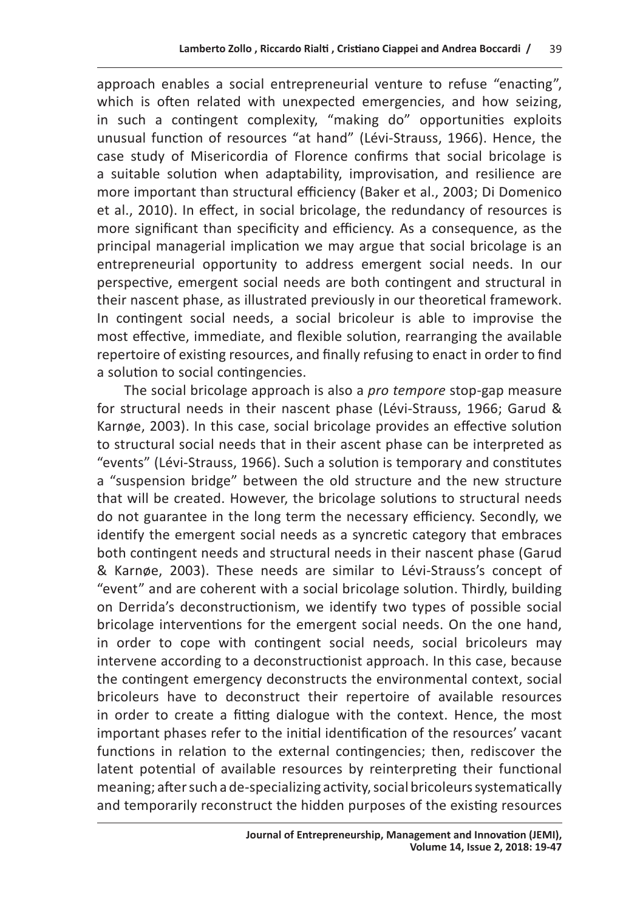approach enables a social entrepreneurial venture to refuse "enacting", which is often related with unexpected emergencies, and how seizing, in such a contingent complexity, "making do" opportunities exploits unusual function of resources "at hand" (Lévi-Strauss, 1966). Hence, the case study of Misericordia of Florence confirms that social bricolage is a suitable solution when adaptability, improvisation, and resilience are more important than structural efficiency (Baker et al., 2003; Di Domenico et al., 2010). In effect, in social bricolage, the redundancy of resources is more significant than specificity and efficiency. As a consequence, as the principal managerial implication we may argue that social bricolage is an entrepreneurial opportunity to address emergent social needs. In our perspective, emergent social needs are both contingent and structural in their nascent phase, as illustrated previously in our theoretical framework. In contingent social needs, a social bricoleur is able to improvise the most effective, immediate, and flexible solution, rearranging the available repertoire of existing resources, and finally refusing to enact in order to find a solution to social contingencies.

The social bricolage approach is also a *pro tempore* stop-gap measure for structural needs in their nascent phase (Lévi-Strauss, 1966; Garud & Karnøe, 2003). In this case, social bricolage provides an effective solution to structural social needs that in their ascent phase can be interpreted as "events" (Lévi-Strauss, 1966). Such a solution is temporary and constitutes a "suspension bridge" between the old structure and the new structure that will be created. However, the bricolage solutions to structural needs do not guarantee in the long term the necessary efficiency. Secondly, we identify the emergent social needs as a syncretic category that embraces both contingent needs and structural needs in their nascent phase (Garud & Karnøe, 2003). These needs are similar to Lévi-Strauss's concept of "event" and are coherent with a social bricolage solution. Thirdly, building on Derrida's deconstructionism, we identify two types of possible social bricolage interventions for the emergent social needs. On the one hand, in order to cope with contingent social needs, social bricoleurs may intervene according to a deconstructionist approach. In this case, because the contingent emergency deconstructs the environmental context, social bricoleurs have to deconstruct their repertoire of available resources in order to create a fitting dialogue with the context. Hence, the most important phases refer to the initial identification of the resources' vacant functions in relation to the external contingencies; then, rediscover the latent potential of available resources by reinterpreting their functional meaning; after such a de-specializing activity, social bricoleurs systematically and temporarily reconstruct the hidden purposes of the existing resources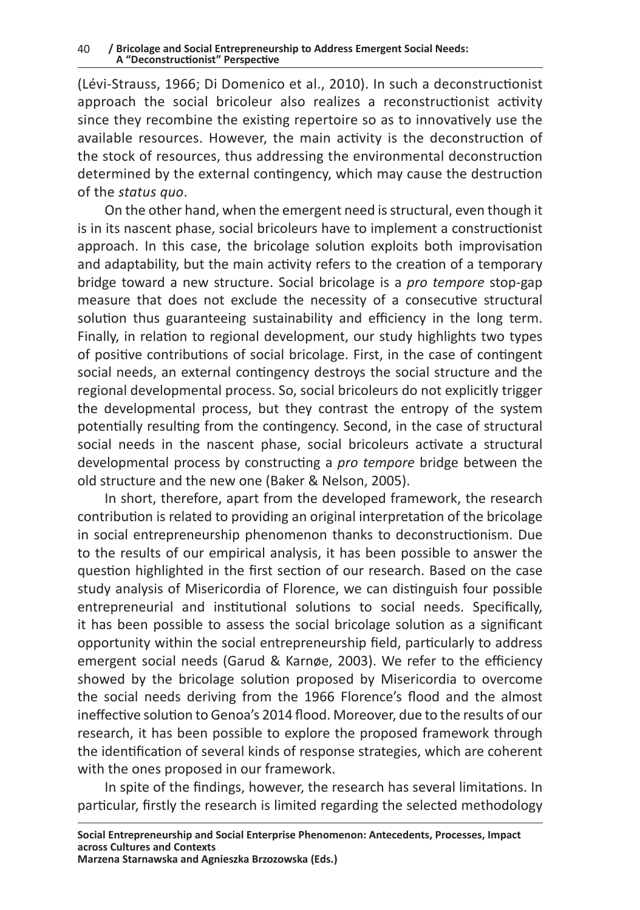(Lévi-Strauss, 1966; Di Domenico et al., 2010). In such a deconstructionist approach the social bricoleur also realizes a reconstructionist activity since they recombine the existing repertoire so as to innovatively use the available resources. However, the main activity is the deconstruction of the stock of resources, thus addressing the environmental deconstruction determined by the external contingency, which may cause the destruction of the *status quo*.

On the other hand, when the emergent need is structural, even though it is in its nascent phase, social bricoleurs have to implement a constructionist approach. In this case, the bricolage solution exploits both improvisation and adaptability, but the main activity refers to the creation of a temporary bridge toward a new structure. Social bricolage is a *pro tempore* stop-gap measure that does not exclude the necessity of a consecutive structural solution thus guaranteeing sustainability and efficiency in the long term. Finally, in relation to regional development, our study highlights two types of positive contributions of social bricolage. First, in the case of contingent social needs, an external contingency destroys the social structure and the regional developmental process. So, social bricoleurs do not explicitly trigger the developmental process, but they contrast the entropy of the system potentially resulting from the contingency. Second, in the case of structural social needs in the nascent phase, social bricoleurs activate a structural developmental process by constructing a *pro tempore* bridge between the old structure and the new one (Baker & Nelson, 2005).

In short, therefore, apart from the developed framework, the research contribution is related to providing an original interpretation of the bricolage in social entrepreneurship phenomenon thanks to deconstructionism. Due to the results of our empirical analysis, it has been possible to answer the question highlighted in the first section of our research. Based on the case study analysis of Misericordia of Florence, we can distinguish four possible entrepreneurial and institutional solutions to social needs. Specifically, it has been possible to assess the social bricolage solution as a significant opportunity within the social entrepreneurship field, particularly to address emergent social needs (Garud & Karnøe, 2003). We refer to the efficiency showed by the bricolage solution proposed by Misericordia to overcome the social needs deriving from the 1966 Florence's flood and the almost ineffective solution to Genoa's 2014 flood. Moreover, due to the results of our research, it has been possible to explore the proposed framework through the identification of several kinds of response strategies, which are coherent with the ones proposed in our framework.

In spite of the findings, however, the research has several limitations. In particular, firstly the research is limited regarding the selected methodology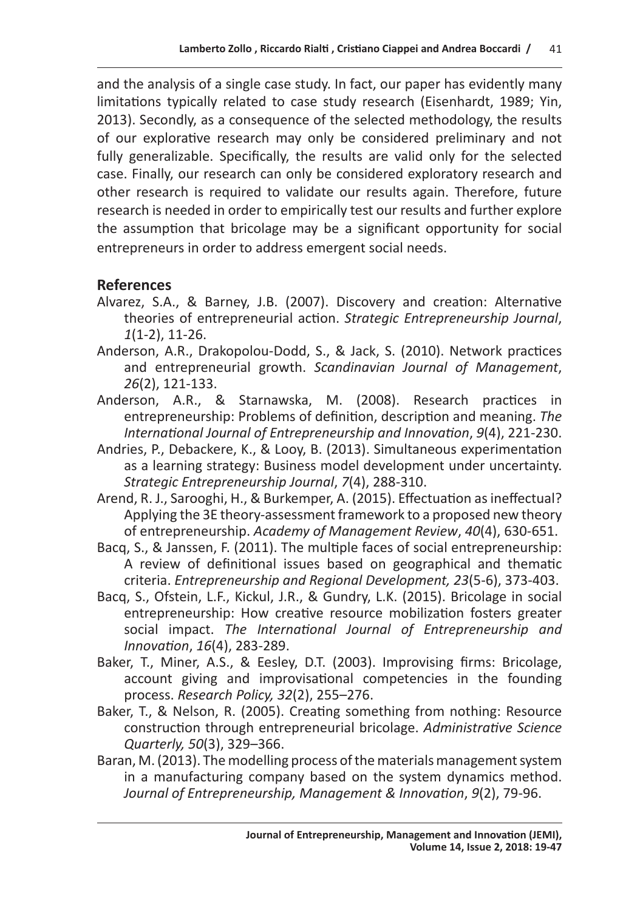and the analysis of a single case study. In fact, our paper has evidently many limitations typically related to case study research (Eisenhardt, 1989; Yin, 2013). Secondly, as a consequence of the selected methodology, the results of our explorative research may only be considered preliminary and not fully generalizable. Specifically, the results are valid only for the selected case. Finally, our research can only be considered exploratory research and other research is required to validate our results again. Therefore, future research is needed in order to empirically test our results and further explore the assumption that bricolage may be a significant opportunity for social entrepreneurs in order to address emergent social needs.

## **References**

- Alvarez, S.A., & Barney, J.B. (2007). Discovery and creation: Alternative theories of entrepreneurial action. *Strategic Entrepreneurship Journal*, *1*(1‐2), 11-26.
- Anderson, A.R., Drakopolou-Dodd, S., & Jack, S. (2010). Network practices and entrepreneurial growth. *Scandinavian Journal of Management*, *26*(2), 121-133.
- Anderson, A.R., & Starnawska, M. (2008). Research practices in entrepreneurship: Problems of definition, description and meaning. *The International Journal of Entrepreneurship and Innovation*, *9*(4), 221-230.
- Andries, P., Debackere, K., & Looy, B. (2013). Simultaneous experimentation as a learning strategy: Business model development under uncertainty. *Strategic Entrepreneurship Journal*, *7*(4), 288-310.
- Arend, R. J., Sarooghi, H., & Burkemper, A. (2015). Effectuation as ineffectual? Applying the 3E theory-assessment framework to a proposed new theory of entrepreneurship. *Academy of Management Review*, *40*(4), 630-651.
- Bacq, S., & Janssen, F. (2011). The multiple faces of social entrepreneurship: A review of definitional issues based on geographical and thematic criteria. *Entrepreneurship and Regional Development, 23*(5-6), 373-403.
- Bacq, S., Ofstein, L.F., Kickul, J.R., & Gundry, L.K. (2015). Bricolage in social entrepreneurship: How creative resource mobilization fosters greater social impact. *The International Journal of Entrepreneurship and Innovation*, *16*(4), 283-289.
- Baker, T., Miner, A.S., & Eesley, D.T. (2003). Improvising firms: Bricolage, account giving and improvisational competencies in the founding process. *Research Policy, 32*(2), 255–276.
- Baker, T., & Nelson, R. (2005). Creating something from nothing: Resource construction through entrepreneurial bricolage. *Administrative Science Quarterly, 50*(3), 329–366.
- Baran, M. (2013). The modelling process of the materials management system in a manufacturing company based on the system dynamics method. *Journal of Entrepreneurship, Management & Innovation*, *9*(2), 79-96.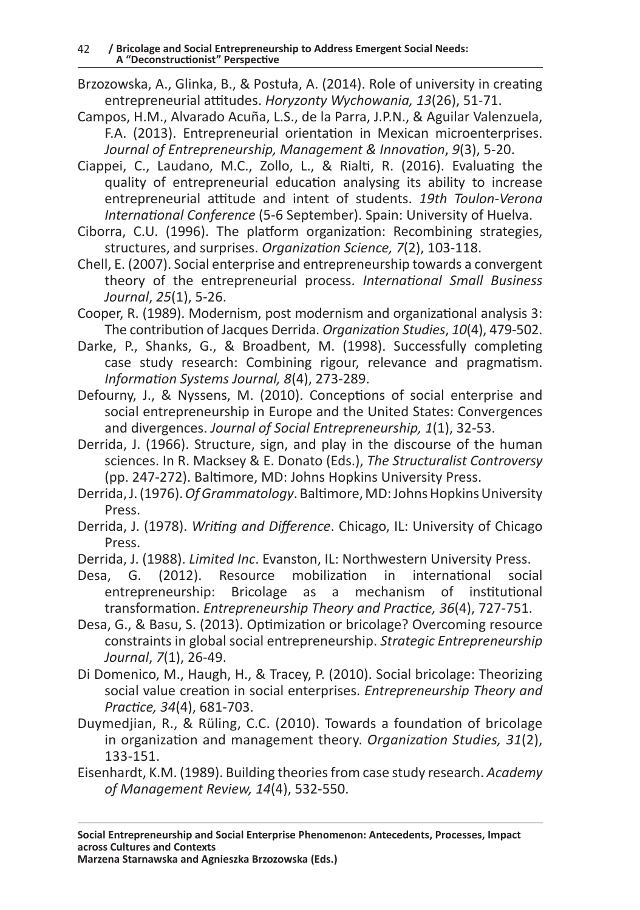- Brzozowska, A., Glinka, B., & Postuła, A. (2014). Role of university in creating entrepreneurial attitudes. *Horyzonty Wychowania, 13*(26), 51-71.
- Campos, H.M., Alvarado Acuña, L.S., de la Parra, J.P.N., & Aguilar Valenzuela, F.A. (2013). Entrepreneurial orientation in Mexican microenterprises. *Journal of Entrepreneurship, Management & Innovation*, *9*(3), 5-20.
- Ciappei, C., Laudano, M.C., Zollo, L., & Rialti, R. (2016). Evaluating the quality of entrepreneurial education analysing its ability to increase entrepreneurial attitude and intent of students. *19th Toulon-Verona International Conference* (5-6 September). Spain: University of Huelva.
- Ciborra, C.U. (1996). The platform organization: Recombining strategies, structures, and surprises. *Organization Science, 7*(2), 103-118.
- Chell, E. (2007). Social enterprise and entrepreneurship towards a convergent theory of the entrepreneurial process. *International Small Business Journal*, *25*(1), 5-26.
- Cooper, R. (1989). Modernism, post modernism and organizational analysis 3: The contribution of Jacques Derrida. *Organization Studies*, *10*(4), 479-502.
- Darke, P., Shanks, G., & Broadbent, M. (1998). Successfully completing case study research: Combining rigour, relevance and pragmatism. *Information Systems Journal, 8*(4), 273-289.

Defourny, J., & Nyssens, M. (2010). Conceptions of social enterprise and social entrepreneurship in Europe and the United States: Convergences and divergences. *Journal of Social Entrepreneurship, 1*(1), 32-53.

- Derrida, J. (1966). Structure, sign, and play in the discourse of the human sciences. In R. Macksey & E. Donato (Eds.), *The Structuralist Controversy*  (pp. 247-272). Baltimore, MD: Johns Hopkins University Press.
- Derrida, J. (1976). *Of Grammatology*. Baltimore, MD: Johns Hopkins University Press.
- Derrida, J. (1978). *Writing and Difference*. Chicago, IL: University of Chicago Press.
- Derrida, J. (1988). *Limited Inc*. Evanston, IL: Northwestern University Press.
- Desa, G. (2012). Resource mobilization in international social Bricolage as a mechanism of institutional transformation. *Entrepreneurship Theory and Practice, 36*(4), 727-751.
- Desa, G., & Basu, S. (2013). Optimization or bricolage? Overcoming resource constraints in global social entrepreneurship. *Strategic Entrepreneurship Journal*, *7*(1), 26-49.
- Di Domenico, M., Haugh, H., & Tracey, P. (2010). Social bricolage: Theorizing social value creation in social enterprises. *Entrepreneurship Theory and Practice, 34*(4), 681-703.
- Duymedjian, R., & Rüling, C.C. (2010). Towards a foundation of bricolage in organization and management theory. *Organization Studies, 31*(2), 133-151.
- Eisenhardt, K.M. (1989). Building theories from case study research. *Academy of Management Review, 14*(4), 532-550.

**Marzena Starnawska and Agnieszka Brzozowska (Eds.)**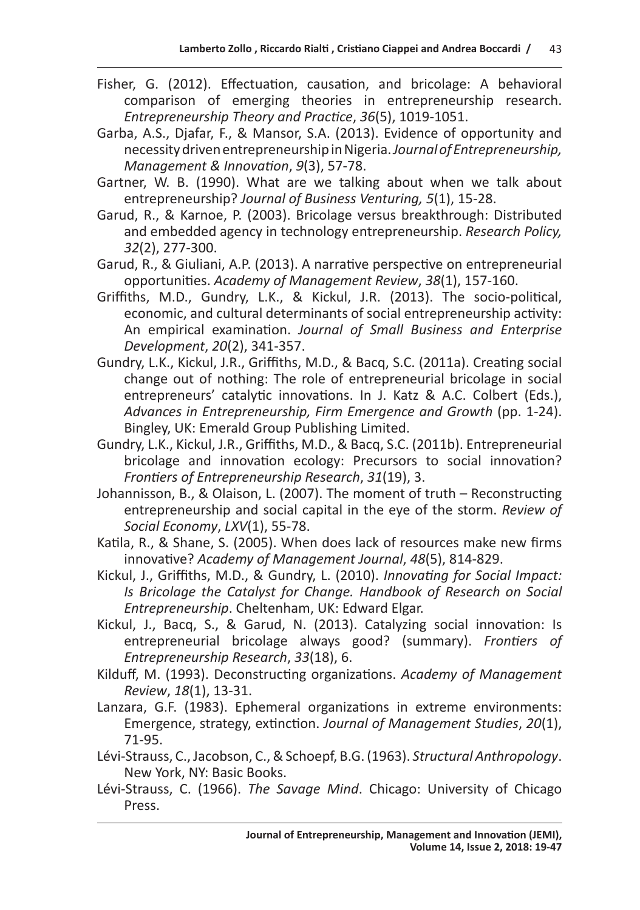- Fisher, G. (2012). Effectuation, causation, and bricolage: A behavioral comparison of emerging theories in entrepreneurship research. *Entrepreneurship Theory and Practice*, *36*(5), 1019-1051.
- Garba, A.S., Djafar, F., & Mansor, S.A. (2013). Evidence of opportunity and necessity driven entrepreneurship in Nigeria. *Journal of Entrepreneurship, Management & Innovation*, *9*(3), 57-78.
- Gartner, W. B. (1990). What are we talking about when we talk about entrepreneurship? *Journal of Business Venturing, 5*(1), 15-28.
- Garud, R., & Karnoe, P. (2003). Bricolage versus breakthrough: Distributed and embedded agency in technology entrepreneurship. *Research Policy, 32*(2), 277-300.
- Garud, R., & Giuliani, A.P. (2013). A narrative perspective on entrepreneurial opportunities. *Academy of Management Review*, *38*(1), 157-160.
- Griffiths, M.D., Gundry, L.K., & Kickul, J.R. (2013). The socio-political, economic, and cultural determinants of social entrepreneurship activity: An empirical examination. *Journal of Small Business and Enterprise Development*, *20*(2), 341-357.
- Gundry, L.K., Kickul, J.R., Griffiths, M.D., & Bacq, S.C. (2011a). Creating social change out of nothing: The role of entrepreneurial bricolage in social entrepreneurs' catalytic innovations. In J. Katz & A.C. Colbert (Eds.), Advances in Entrepreneurship, Firm Emergence and Growth (pp. 1-24). Bingley, UK: Emerald Group Publishing Limited.
- Gundry, L.K., Kickul, J.R., Griffiths, M.D., & Bacq, S.C. (2011b). Entrepreneurial bricolage and innovation ecology: Precursors to social innovation? *Frontiers of Entrepreneurship Research*, *31*(19), 3.
- Johannisson, B., & Olaison, L. (2007). The moment of truth Reconstructing entrepreneurship and social capital in the eye of the storm. *Review of Social Economy*, *LXV*(1), 55-78.
- Katila, R., & Shane, S. (2005). When does lack of resources make new firms innovative? *Academy of Management Journal*, *48*(5), 814-829.
- Kickul, J., Griffiths, M.D., & Gundry, L. (2010). *Innovating for Social Impact: Is Bricolage the Catalyst for Change. Handbook of Research on Social Entrepreneurship*. Cheltenham, UK: Edward Elgar.
- Kickul, J., Bacq, S., & Garud, N. (2013). Catalyzing social innovation: Is entrepreneurial bricolage always good? (summary). *Frontiers of Entrepreneurship Research*, *33*(18), 6.
- Kilduff, M. (1993). Deconstructing organizations. *Academy of Management Review*, *18*(1), 13-31.
- Lanzara, G.F. (1983). Ephemeral organizations in extreme environments: Emergence, strategy, extinction. *Journal of Management Studies*, *20*(1), 71-95.
- Lévi-Strauss, C., Jacobson, C., & Schoepf, B.G. (1963). *Structural Anthropology*. New York, NY: Basic Books.
- Lévi-Strauss, C. (1966). *The Savage Mind*. Chicago: University of Chicago Press.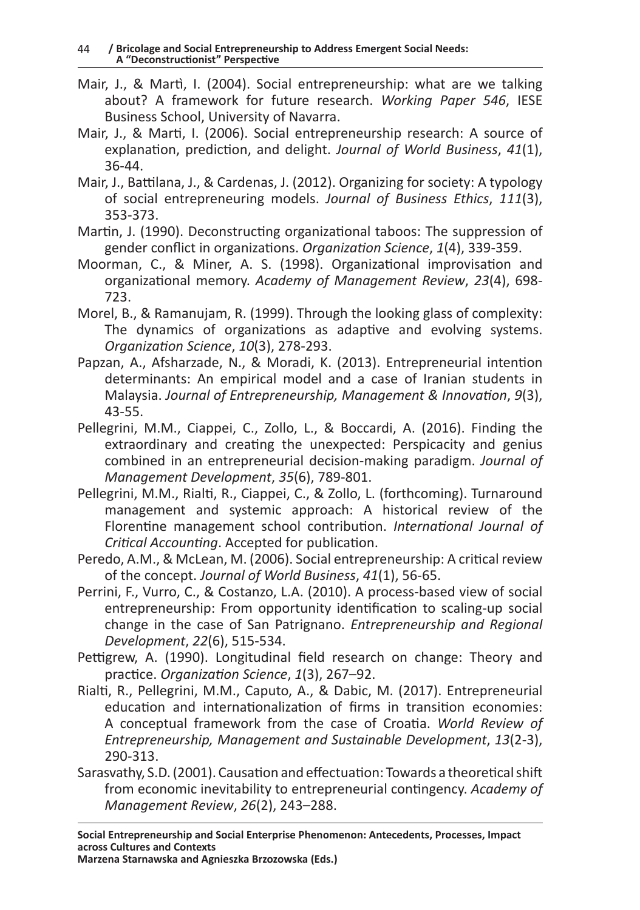- Mair, J., & Martì, I. (2004). Social entrepreneurship: what are we talking about? A framework for future research. *Working Paper 546*, IESE Business School, University of Navarra.
- Mair, J., & Marti, I. (2006). Social entrepreneurship research: A source of explanation, prediction, and delight. *Journal of World Business*, *41*(1), 36-44.
- Mair, J., Battilana, J., & Cardenas, J. (2012). Organizing for society: A typology of social entrepreneuring models. *Journal of Business Ethics*, *111*(3), 353-373.
- Martin, J. (1990). Deconstructing organizational taboos: The suppression of gender conflict in organizations. *Organization Science*, *1*(4), 339-359.
- Moorman, C., & Miner, A. S. (1998). Organizational improvisation and organizational memory. *Academy of Management Review*, *23*(4), 698- 723.
- Morel, B., & Ramanujam, R. (1999). Through the looking glass of complexity: The dynamics of organizations as adaptive and evolving systems. *Organization Science*, *10*(3), 278-293.
- Papzan, A., Afsharzade, N., & Moradi, K. (2013). Entrepreneurial intention determinants: An empirical model and a case of Iranian students in Malaysia. *Journal of Entrepreneurship, Management & Innovation*, *9*(3), 43-55.
- Pellegrini, M.M., Ciappei, C., Zollo, L., & Boccardi, A. (2016). Finding the extraordinary and creating the unexpected: Perspicacity and genius combined in an entrepreneurial decision-making paradigm. *Journal of Management Development*, *35*(6), 789-801.
- Pellegrini, M.M., Rialti, R., Ciappei, C., & Zollo, L. (forthcoming). Turnaround management and systemic approach: A historical review of the Florentine management school contribution. *International Journal of Critical Accounting*. Accepted for publication.
- Peredo, A.M., & McLean, M. (2006). Social entrepreneurship: A critical review of the concept. *Journal of World Business*, *41*(1), 56-65.
- Perrini, F., Vurro, C., & Costanzo, L.A. (2010). A process-based view of social entrepreneurship: From opportunity identification to scaling-up social change in the case of San Patrignano. *Entrepreneurship and Regional Development*, *22*(6), 515-534.
- Pettigrew, A. (1990). Longitudinal field research on change: Theory and practice. *Organization Science*, *1*(3), 267–92.
- Rialti, R., Pellegrini, M.M., Caputo, A., & Dabic, M. (2017). Entrepreneurial education and internationalization of firms in transition economies: A conceptual framework from the case of Croatia. *World Review of Entrepreneurship, Management and Sustainable Development*, *13*(2-3), 290-313.
- Sarasvathy, S.D. (2001). Causation and effectuation: Towards a theoretical shift from economic inevitability to entrepreneurial contingency. *Academy of Management Review*, *26*(2), 243–288.

**Social Entrepreneurship and Social Enterprise Phenomenon: Antecedents, Processes, Impact across Cultures and Contexts**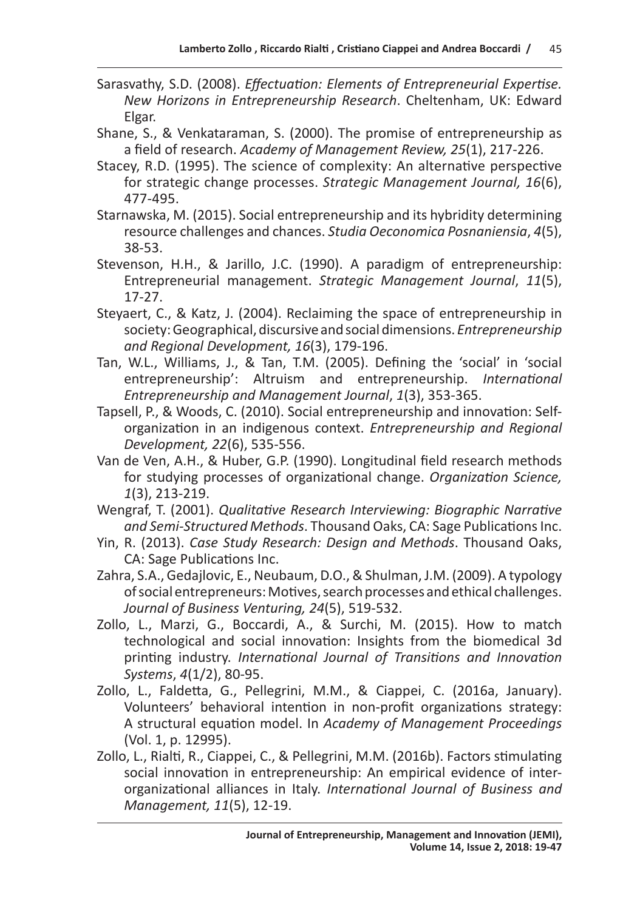- Sarasvathy, S.D. (2008). *Effectuation: Elements of Entrepreneurial Expertise. New Horizons in Entrepreneurship Research*. Cheltenham, UK: Edward Elgar.
- Shane, S., & Venkataraman, S. (2000). The promise of entrepreneurship as a field of research. *Academy of Management Review, 25*(1), 217-226.
- Stacey, R.D. (1995). The science of complexity: An alternative perspective for strategic change processes. *Strategic Management Journal, 16*(6), 477-495.
- Starnawska, M. (2015). Social entrepreneurship and its hybridity determining resource challenges and chances. *Studia Oeconomica Posnaniensia*, *4*(5), 38-53.
- Stevenson, H.H., & Jarillo, J.C. (1990). A paradigm of entrepreneurship: Entrepreneurial management. *Strategic Management Journal*, *11*(5), 17-27.
- Steyaert, C., & Katz, J. (2004). Reclaiming the space of entrepreneurship in society: Geographical, discursive and social dimensions. *Entrepreneurship and Regional Development, 16*(3), 179-196.
- Tan, W.L., Williams, J., & Tan, T.M. (2005). Defining the 'social' in 'social entrepreneurship': Altruism and entrepreneurship. *International Entrepreneurship and Management Journal*, *1*(3), 353-365.
- Tapsell, P., & Woods, C. (2010). Social entrepreneurship and innovation: Selforganization in an indigenous context. *Entrepreneurship and Regional Development, 22*(6), 535-556.
- Van de Ven, A.H., & Huber, G.P. (1990). Longitudinal field research methods for studying processes of organizational change. *Organization Science, 1*(3), 213-219.
- Wengraf, T. (2001). *Qualitative Research Interviewing: Biographic Narrative and Semi-Structured Methods*. Thousand Oaks, CA: Sage Publications Inc.
- Yin, R. (2013). *Case Study Research: Design and Methods*. Thousand Oaks, CA: Sage Publications Inc.
- Zahra, S.A., Gedajlovic, E., Neubaum, D.O., & Shulman, J.M. (2009). A typology of social entrepreneurs: Motives, search processes and ethical challenges. *Journal of Business Venturing, 24*(5), 519-532.
- Zollo, L., Marzi, G., Boccardi, A., & Surchi, M. (2015). How to match technological and social innovation: Insights from the biomedical 3d printing industry. *International Journal of Transitions and Innovation Systems*, *4*(1/2), 80-95.
- Zollo, L., Faldetta, G., Pellegrini, M.M., & Ciappei, C. (2016a, January). Volunteers' behavioral intention in non-profit organizations strategy: A structural equation model. In *Academy of Management Proceedings* (Vol. 1, p. 12995).
- Zollo, L., Rialti, R., Ciappei, C., & Pellegrini, M.M. (2016b). Factors stimulating social innovation in entrepreneurship: An empirical evidence of interorganizational alliances in Italy. *International Journal of Business and Management, 11*(5), 12-19.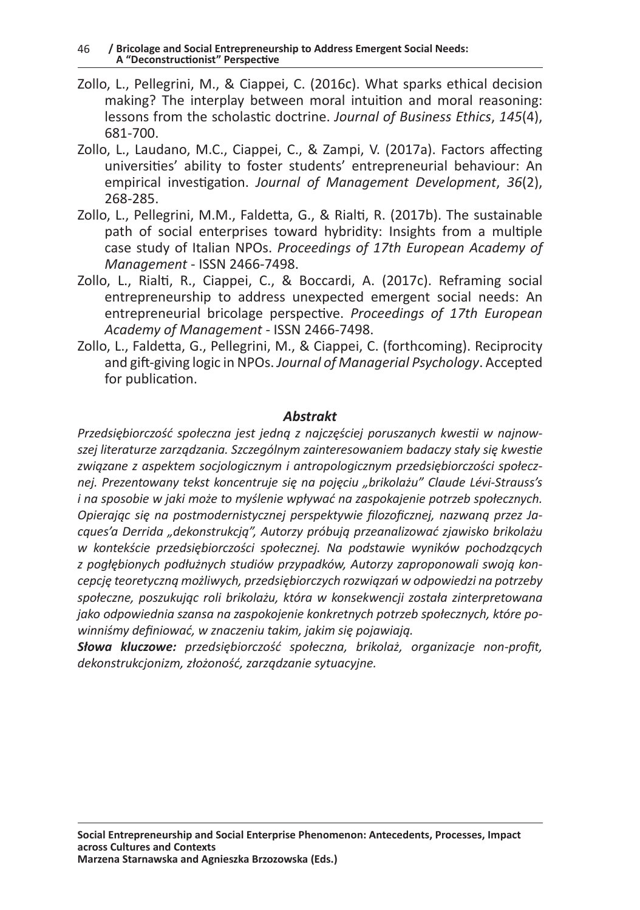- Zollo, L., Pellegrini, M., & Ciappei, C. (2016c). What sparks ethical decision making? The interplay between moral intuition and moral reasoning: lessons from the scholastic doctrine. *Journal of Business Ethics*, *145*(4), 681-700.
- Zollo, L., Laudano, M.C., Ciappei, C., & Zampi, V. (2017a). Factors affecting universities' ability to foster students' entrepreneurial behaviour: An empirical investigation. *Journal of Management Development*, *36*(2), 268-285.
- Zollo, L., Pellegrini, M.M., Faldetta, G., & Rialti, R. (2017b). The sustainable path of social enterprises toward hybridity: Insights from a multiple case study of Italian NPOs. *Proceedings of 17th European Academy of Management* - ISSN 2466-7498.
- Zollo, L., Rialti, R., Ciappei, C., & Boccardi, A. (2017c). Reframing social entrepreneurship to address unexpected emergent social needs: An entrepreneurial bricolage perspective. *Proceedings of 17th European Academy of Management* - ISSN 2466-7498.
- Zollo, L., Faldetta, G., Pellegrini, M., & Ciappei, C. (forthcoming). Reciprocity and gift-giving logic in NPOs. *Journal of Managerial Psychology*. Accepted for publication.

#### *Abstrakt*

*Przedsiębiorczość społeczna jest jedną z najczęściej poruszanych kwestii w najnowszej literaturze zarządzania. Szczególnym zainteresowaniem badaczy stały się kwestie związane z aspektem socjologicznym i antropologicznym przedsiębiorczości społecz*nej. Prezentowany tekst koncentruje się na pojęciu "brikolażu" Claude Lévi-Strauss's *i na sposobie w jaki może to myślenie wpływać na zaspokajenie potrzeb społecznych. Opierając się na postmodernistycznej perspektywie filozoficznej, nazwaną przez Jacques'a Derrida "dekonstrukcją", Autorzy próbują przeanalizować zjawisko brikolażu w kontekście przedsiębiorczości społecznej. Na podstawie wyników pochodzących z pogłębionych podłużnych studiów przypadków, Autorzy zaproponowali swoją koncepcję teoretyczną możliwych, przedsiębiorczych rozwiązań w odpowiedzi na potrzeby społeczne, poszukując roli brikolażu, która w konsekwencji została zinterpretowana jako odpowiednia szansa na zaspokojenie konkretnych potrzeb społecznych, które powinniśmy definiować, w znaczeniu takim, jakim się pojawiają.* 

*Słowa kluczowe: przedsiębiorczość społeczna, brikolaż, organizacje non-profit, dekonstrukcjonizm, złożoność, zarządzanie sytuacyjne.*